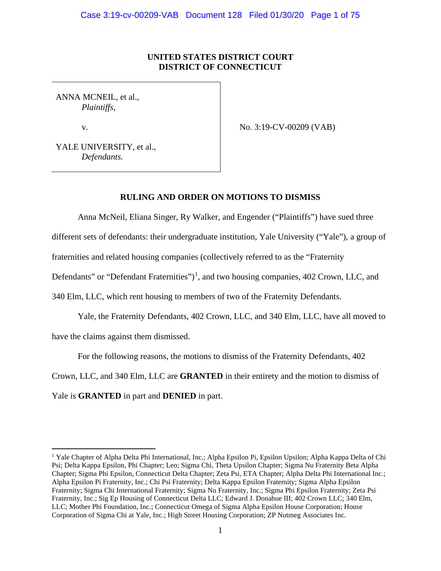# **UNITED STATES DISTRICT COURT DISTRICT OF CONNECTICUT**

ANNA MCNEIL, et al., *Plaintiffs*,

v.

No. 3:19-CV-00209 (VAB)

YALE UNIVERSITY, et al., *Defendants.*

## **RULING AND ORDER ON MOTIONS TO DISMISS**

Anna McNeil, Eliana Singer, Ry Walker, and Engender ("Plaintiffs") have sued three

different sets of defendants: their undergraduate institution, Yale University ("Yale"), a group of

fraternities and related housing companies (collectively referred to as the "Fraternity

Defendants" or "Defendant Fraternities")<sup>[1](#page-0-0)</sup>, and two housing companies, 402 Crown, LLC, and

340 Elm, LLC, which rent housing to members of two of the Fraternity Defendants.

Yale, the Fraternity Defendants, 402 Crown, LLC, and 340 Elm, LLC, have all moved to have the claims against them dismissed.

For the following reasons, the motions to dismiss of the Fraternity Defendants, 402

Crown, LLC, and 340 Elm, LLC are **GRANTED** in their entirety and the motion to dismiss of

Yale is **GRANTED** in part and **DENIED** in part.

<span id="page-0-0"></span><sup>&</sup>lt;sup>1</sup> Yale Chapter of Alpha Delta Phi International, Inc.; Alpha Epsilon Pi, Epsilon Upsilon; Alpha Kappa Delta of Chi Psi; Delta Kappa Epsilon, Phi Chapter; Leo; Sigma Chi, Theta Upsilon Chapter; Sigma Nu Fraternity Beta Alpha Chapter; Sigma Phi Epsilon, Connecticut Delta Chapter; Zeta Psi, ETA Chapter; Alpha Delta Phi International Inc.; Alpha Epsilon Pi Fraternity, Inc.; Chi Psi Fraternity; Delta Kappa Epsilon Fraternity; Sigma Alpha Epsilon Fraternity; Sigma Chi International Fraternity; Sigma Nu Fraternity, Inc.; Sigma Phi Epsilon Fraternity; Zeta Psi Fraternity, Inc.; Sig Ep Housing of Connecticut Delta LLC; Edward J. Donahue III; 402 Crown LLC; 340 Elm, LLC; Mother Phi Foundation, Inc.; Connecticut Omega of Sigma Alpha Epsilon House Corporation; House Corporation of Sigma Chi at Yale, Inc.; High Street Housing Corporation; ZP Nutmeg Associates Inc.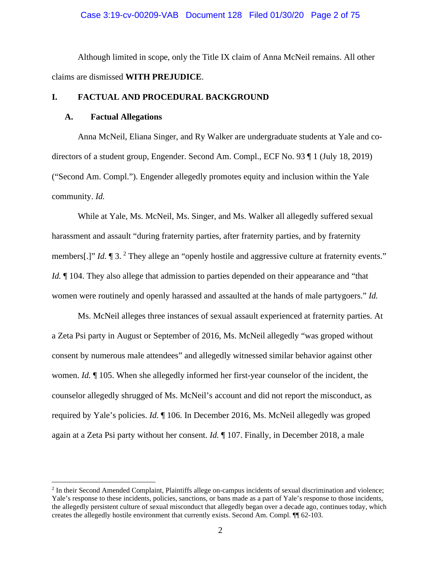## Case 3:19-cv-00209-VAB Document 128 Filed 01/30/20 Page 2 of 75

Although limited in scope, only the Title IX claim of Anna McNeil remains. All other claims are dismissed **WITH PREJUDICE**.

## **I. FACTUAL AND PROCEDURAL BACKGROUND**

## **A. Factual Allegations**

Anna McNeil, Eliana Singer, and Ry Walker are undergraduate students at Yale and codirectors of a student group, Engender. Second Am. Compl., ECF No. 93 ¶ 1 (July 18, 2019) ("Second Am. Compl."). Engender allegedly promotes equity and inclusion within the Yale community. *Id.*

While at Yale, Ms. McNeil, Ms. Singer, and Ms. Walker all allegedly suffered sexual harassment and assault "during fraternity parties, after fraternity parties, and by fraternity members[.]" *Id.*  $\P$  3. <sup>[2](#page-1-0)</sup> They allege an "openly hostile and aggressive culture at fraternity events." *Id.*  $\parallel$  104. They also allege that admission to parties depended on their appearance and "that" women were routinely and openly harassed and assaulted at the hands of male partygoers." *Id.*

Ms. McNeil alleges three instances of sexual assault experienced at fraternity parties. At a Zeta Psi party in August or September of 2016, Ms. McNeil allegedly "was groped without consent by numerous male attendees" and allegedly witnessed similar behavior against other women. *Id.* ¶ 105. When she allegedly informed her first-year counselor of the incident, the counselor allegedly shrugged of Ms. McNeil's account and did not report the misconduct, as required by Yale's policies. *Id.* ¶ 106. In December 2016, Ms. McNeil allegedly was groped again at a Zeta Psi party without her consent. *Id.* ¶ 107. Finally, in December 2018, a male

<span id="page-1-0"></span><sup>2</sup> In their Second Amended Complaint, Plaintiffs allege on-campus incidents of sexual discrimination and violence; Yale's response to these incidents, policies, sanctions, or bans made as a part of Yale's response to those incidents, the allegedly persistent culture of sexual misconduct that allegedly began over a decade ago, continues today, which creates the allegedly hostile environment that currently exists. Second Am. Compl. ¶¶ 62-103.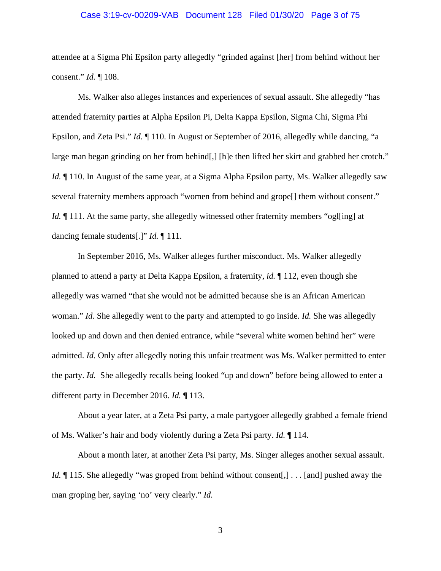## Case 3:19-cv-00209-VAB Document 128 Filed 01/30/20 Page 3 of 75

attendee at a Sigma Phi Epsilon party allegedly "grinded against [her] from behind without her consent." *Id.* ¶ 108.

Ms. Walker also alleges instances and experiences of sexual assault. She allegedly "has attended fraternity parties at Alpha Epsilon Pi, Delta Kappa Epsilon, Sigma Chi, Sigma Phi Epsilon, and Zeta Psi." *Id.* ¶ 110. In August or September of 2016, allegedly while dancing, "a large man began grinding on her from behind[,] [h]e then lifted her skirt and grabbed her crotch." *Id.*  $\P$  110. In August of the same year, at a Sigma Alpha Epsilon party, Ms. Walker allegedly saw several fraternity members approach "women from behind and grope[] them without consent." *Id.*  $\llbracket$  111. At the same party, she allegedly witnessed other fraternity members "ogling] at dancing female students[.]" *Id.* ¶ 111.

In September 2016, Ms. Walker alleges further misconduct. Ms. Walker allegedly planned to attend a party at Delta Kappa Epsilon, a fraternity, *id.* ¶ 112, even though she allegedly was warned "that she would not be admitted because she is an African American woman." *Id.* She allegedly went to the party and attempted to go inside. *Id.* She was allegedly looked up and down and then denied entrance, while "several white women behind her" were admitted. *Id.* Only after allegedly noting this unfair treatment was Ms. Walker permitted to enter the party. *Id.* She allegedly recalls being looked "up and down" before being allowed to enter a different party in December 2016. *Id.* ¶ 113.

About a year later, at a Zeta Psi party, a male partygoer allegedly grabbed a female friend of Ms. Walker's hair and body violently during a Zeta Psi party. *Id.* ¶ 114.

About a month later, at another Zeta Psi party, Ms. Singer alleges another sexual assault. *Id.*  $\P$  115. She allegedly "was groped from behind without consent[,] . . . [and] pushed away the man groping her, saying 'no' very clearly." *Id.*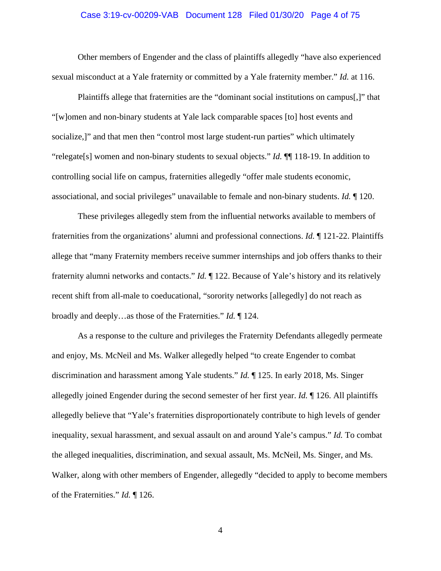## Case 3:19-cv-00209-VAB Document 128 Filed 01/30/20 Page 4 of 75

Other members of Engender and the class of plaintiffs allegedly "have also experienced sexual misconduct at a Yale fraternity or committed by a Yale fraternity member." *Id.* at 116.

Plaintiffs allege that fraternities are the "dominant social institutions on campus[,]" that "[w]omen and non-binary students at Yale lack comparable spaces [to] host events and socialize,]" and that men then "control most large student-run parties" which ultimately "relegate[s] women and non-binary students to sexual objects." *Id.* ¶¶ 118-19. In addition to controlling social life on campus, fraternities allegedly "offer male students economic, associational, and social privileges" unavailable to female and non-binary students. *Id.* ¶ 120.

These privileges allegedly stem from the influential networks available to members of fraternities from the organizations' alumni and professional connections. *Id.* ¶ 121-22. Plaintiffs allege that "many Fraternity members receive summer internships and job offers thanks to their fraternity alumni networks and contacts." *Id.* ¶ 122. Because of Yale's history and its relatively recent shift from all-male to coeducational, "sorority networks [allegedly] do not reach as broadly and deeply…as those of the Fraternities." *Id.* ¶ 124.

As a response to the culture and privileges the Fraternity Defendants allegedly permeate and enjoy, Ms. McNeil and Ms. Walker allegedly helped "to create Engender to combat discrimination and harassment among Yale students." *Id.* ¶ 125. In early 2018, Ms. Singer allegedly joined Engender during the second semester of her first year. *Id.* ¶ 126. All plaintiffs allegedly believe that "Yale's fraternities disproportionately contribute to high levels of gender inequality, sexual harassment, and sexual assault on and around Yale's campus." *Id.* To combat the alleged inequalities, discrimination, and sexual assault, Ms. McNeil, Ms. Singer, and Ms. Walker, along with other members of Engender, allegedly "decided to apply to become members of the Fraternities." *Id.* ¶ 126.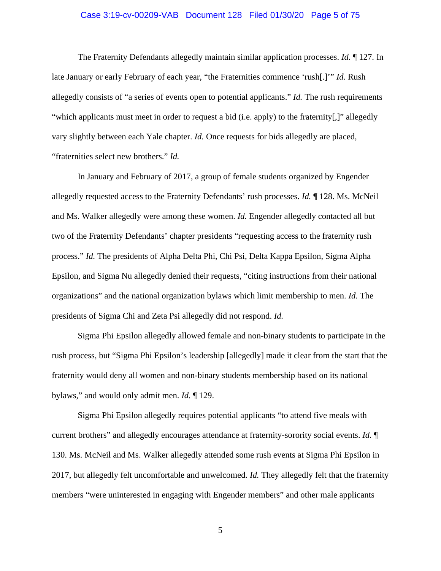## Case 3:19-cv-00209-VAB Document 128 Filed 01/30/20 Page 5 of 75

The Fraternity Defendants allegedly maintain similar application processes. *Id.* ¶ 127. In late January or early February of each year, "the Fraternities commence 'rush[.]'" *Id.* Rush allegedly consists of "a series of events open to potential applicants." *Id.* The rush requirements "which applicants must meet in order to request a bid (i.e. apply) to the fraternity[,]" allegedly vary slightly between each Yale chapter. *Id.* Once requests for bids allegedly are placed, "fraternities select new brothers." *Id.*

In January and February of 2017, a group of female students organized by Engender allegedly requested access to the Fraternity Defendants' rush processes. *Id.* ¶ 128. Ms. McNeil and Ms. Walker allegedly were among these women. *Id.* Engender allegedly contacted all but two of the Fraternity Defendants' chapter presidents "requesting access to the fraternity rush process." *Id.* The presidents of Alpha Delta Phi, Chi Psi, Delta Kappa Epsilon, Sigma Alpha Epsilon, and Sigma Nu allegedly denied their requests, "citing instructions from their national organizations" and the national organization bylaws which limit membership to men. *Id.* The presidents of Sigma Chi and Zeta Psi allegedly did not respond. *Id.*

Sigma Phi Epsilon allegedly allowed female and non-binary students to participate in the rush process, but "Sigma Phi Epsilon's leadership [allegedly] made it clear from the start that the fraternity would deny all women and non-binary students membership based on its national bylaws," and would only admit men. *Id.* ¶ 129.

Sigma Phi Epsilon allegedly requires potential applicants "to attend five meals with current brothers" and allegedly encourages attendance at fraternity-sorority social events. *Id.* ¶ 130. Ms. McNeil and Ms. Walker allegedly attended some rush events at Sigma Phi Epsilon in 2017, but allegedly felt uncomfortable and unwelcomed. *Id.* They allegedly felt that the fraternity members "were uninterested in engaging with Engender members" and other male applicants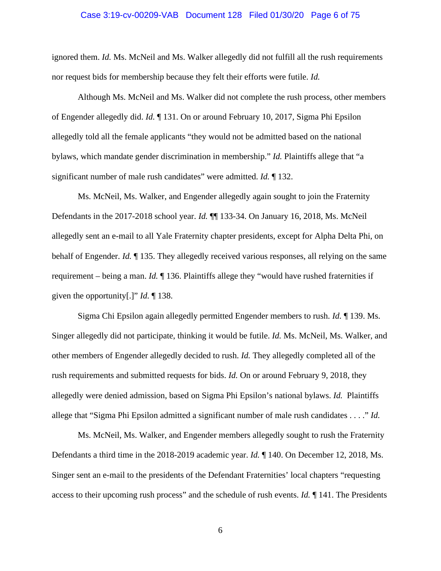## Case 3:19-cv-00209-VAB Document 128 Filed 01/30/20 Page 6 of 75

ignored them. *Id.* Ms. McNeil and Ms. Walker allegedly did not fulfill all the rush requirements nor request bids for membership because they felt their efforts were futile. *Id.*

Although Ms. McNeil and Ms. Walker did not complete the rush process, other members of Engender allegedly did. *Id.* ¶ 131. On or around February 10, 2017, Sigma Phi Epsilon allegedly told all the female applicants "they would not be admitted based on the national bylaws, which mandate gender discrimination in membership." *Id.* Plaintiffs allege that "a significant number of male rush candidates" were admitted. *Id.* ¶ 132.

Ms. McNeil, Ms. Walker, and Engender allegedly again sought to join the Fraternity Defendants in the 2017-2018 school year. *Id.* ¶¶ 133-34. On January 16, 2018, Ms. McNeil allegedly sent an e-mail to all Yale Fraternity chapter presidents, except for Alpha Delta Phi, on behalf of Engender. *Id.* ¶ 135. They allegedly received various responses, all relying on the same requirement – being a man. *Id.* ¶ 136. Plaintiffs allege they "would have rushed fraternities if given the opportunity[.]" *Id.* ¶ 138.

Sigma Chi Epsilon again allegedly permitted Engender members to rush. *Id.* ¶ 139. Ms. Singer allegedly did not participate, thinking it would be futile. *Id.* Ms. McNeil, Ms. Walker, and other members of Engender allegedly decided to rush. *Id.* They allegedly completed all of the rush requirements and submitted requests for bids. *Id.* On or around February 9, 2018, they allegedly were denied admission, based on Sigma Phi Epsilon's national bylaws. *Id.* Plaintiffs allege that "Sigma Phi Epsilon admitted a significant number of male rush candidates . . . ." *Id.*

Ms. McNeil, Ms. Walker, and Engender members allegedly sought to rush the Fraternity Defendants a third time in the 2018-2019 academic year. *Id.* ¶ 140. On December 12, 2018, Ms. Singer sent an e-mail to the presidents of the Defendant Fraternities' local chapters "requesting access to their upcoming rush process" and the schedule of rush events. *Id.* ¶ 141. The Presidents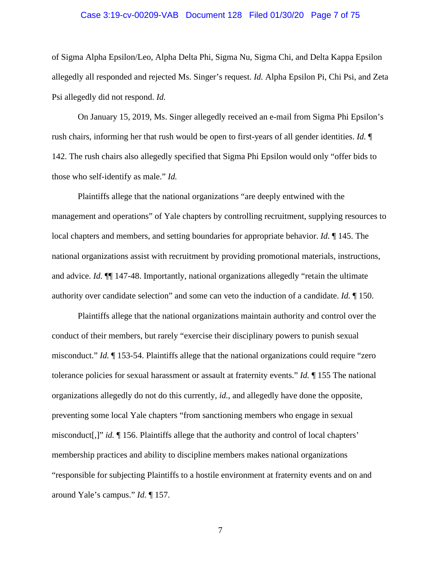## Case 3:19-cv-00209-VAB Document 128 Filed 01/30/20 Page 7 of 75

of Sigma Alpha Epsilon/Leo, Alpha Delta Phi, Sigma Nu, Sigma Chi, and Delta Kappa Epsilon allegedly all responded and rejected Ms. Singer's request. *Id.* Alpha Epsilon Pi, Chi Psi, and Zeta Psi allegedly did not respond. *Id.*

On January 15, 2019, Ms. Singer allegedly received an e-mail from Sigma Phi Epsilon's rush chairs, informing her that rush would be open to first-years of all gender identities. *Id.* ¶ 142. The rush chairs also allegedly specified that Sigma Phi Epsilon would only "offer bids to those who self-identify as male." *Id.*

Plaintiffs allege that the national organizations "are deeply entwined with the management and operations" of Yale chapters by controlling recruitment, supplying resources to local chapters and members, and setting boundaries for appropriate behavior. *Id.* ¶ 145. The national organizations assist with recruitment by providing promotional materials, instructions, and advice. *Id.*  $\P$  147-48. Importantly, national organizations allegedly "retain the ultimate authority over candidate selection" and some can veto the induction of a candidate. *Id.* ¶ 150.

Plaintiffs allege that the national organizations maintain authority and control over the conduct of their members, but rarely "exercise their disciplinary powers to punish sexual misconduct." *Id.* ¶ 153-54. Plaintiffs allege that the national organizations could require "zero tolerance policies for sexual harassment or assault at fraternity events." *Id.* ¶ 155 The national organizations allegedly do not do this currently, *id.*, and allegedly have done the opposite, preventing some local Yale chapters "from sanctioning members who engage in sexual misconduct[,]" *id.* ¶ 156. Plaintiffs allege that the authority and control of local chapters' membership practices and ability to discipline members makes national organizations "responsible for subjecting Plaintiffs to a hostile environment at fraternity events and on and around Yale's campus." *Id.* ¶ 157.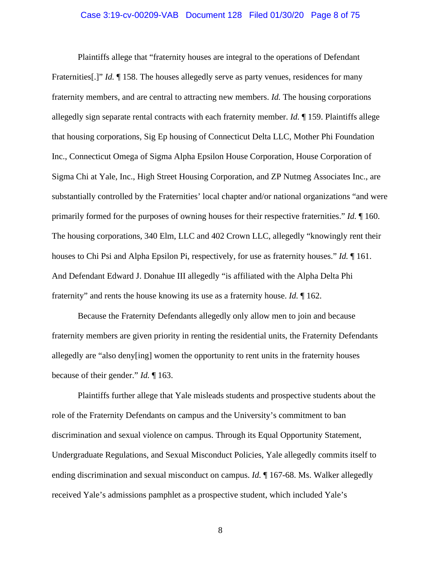## Case 3:19-cv-00209-VAB Document 128 Filed 01/30/20 Page 8 of 75

Plaintiffs allege that "fraternity houses are integral to the operations of Defendant Fraternities[.]" *Id.* ¶ 158. The houses allegedly serve as party venues, residences for many fraternity members, and are central to attracting new members. *Id.* The housing corporations allegedly sign separate rental contracts with each fraternity member. *Id.* ¶ 159. Plaintiffs allege that housing corporations, Sig Ep housing of Connecticut Delta LLC, Mother Phi Foundation Inc., Connecticut Omega of Sigma Alpha Epsilon House Corporation, House Corporation of Sigma Chi at Yale, Inc., High Street Housing Corporation, and ZP Nutmeg Associates Inc., are substantially controlled by the Fraternities' local chapter and/or national organizations "and were primarily formed for the purposes of owning houses for their respective fraternities." *Id.* ¶ 160. The housing corporations, 340 Elm, LLC and 402 Crown LLC, allegedly "knowingly rent their houses to Chi Psi and Alpha Epsilon Pi, respectively, for use as fraternity houses." *Id.* ¶ 161. And Defendant Edward J. Donahue III allegedly "is affiliated with the Alpha Delta Phi fraternity" and rents the house knowing its use as a fraternity house. *Id.* ¶ 162.

Because the Fraternity Defendants allegedly only allow men to join and because fraternity members are given priority in renting the residential units, the Fraternity Defendants allegedly are "also deny[ing] women the opportunity to rent units in the fraternity houses because of their gender." *Id.* ¶ 163.

Plaintiffs further allege that Yale misleads students and prospective students about the role of the Fraternity Defendants on campus and the University's commitment to ban discrimination and sexual violence on campus. Through its Equal Opportunity Statement, Undergraduate Regulations, and Sexual Misconduct Policies, Yale allegedly commits itself to ending discrimination and sexual misconduct on campus. *Id.* ¶ 167-68. Ms. Walker allegedly received Yale's admissions pamphlet as a prospective student, which included Yale's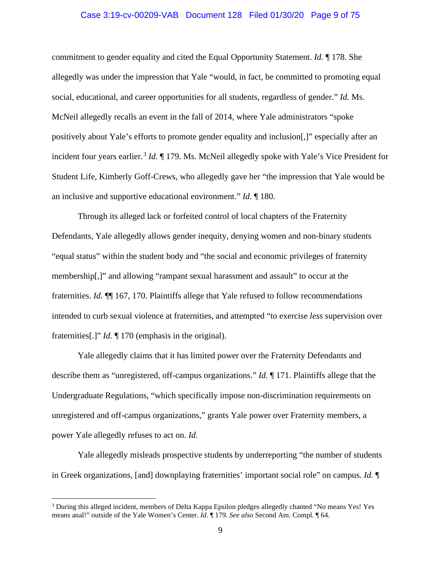## Case 3:19-cv-00209-VAB Document 128 Filed 01/30/20 Page 9 of 75

commitment to gender equality and cited the Equal Opportunity Statement. *Id.* ¶ 178. She allegedly was under the impression that Yale "would, in fact, be committed to promoting equal social, educational, and career opportunities for all students, regardless of gender." *Id.* Ms. McNeil allegedly recalls an event in the fall of 2014, where Yale administrators "spoke positively about Yale's efforts to promote gender equality and inclusion[,]" especially after an incident four years earlier.<sup>[3](#page-8-0)</sup> *Id.* 179. Ms. McNeil allegedly spoke with Yale's Vice President for Student Life, Kimberly Goff-Crews, who allegedly gave her "the impression that Yale would be an inclusive and supportive educational environment." *Id.* ¶ 180.

Through its alleged lack or forfeited control of local chapters of the Fraternity Defendants, Yale allegedly allows gender inequity, denying women and non-binary students "equal status" within the student body and "the social and economic privileges of fraternity membership[,]" and allowing "rampant sexual harassment and assault" to occur at the fraternities. *Id.* ¶¶ 167, 170. Plaintiffs allege that Yale refused to follow recommendations intended to curb sexual violence at fraternities, and attempted "to exercise *less* supervision over fraternities[.]" *Id.* ¶ 170 (emphasis in the original).

Yale allegedly claims that it has limited power over the Fraternity Defendants and describe them as "unregistered, off-campus organizations." *Id.* ¶ 171. Plaintiffs allege that the Undergraduate Regulations, "which specifically impose non-discrimination requirements on unregistered and off-campus organizations," grants Yale power over Fraternity members, a power Yale allegedly refuses to act on. *Id.*

Yale allegedly misleads prospective students by underreporting "the number of students in Greek organizations, [and] downplaying fraternities' important social role" on campus. *Id.* ¶

<span id="page-8-0"></span><sup>&</sup>lt;sup>3</sup> During this alleged incident, members of Delta Kappa Epsilon pledges allegedly chanted "No means Yes! Yes means anal!" outside of the Yale Women's Center. *Id*. ¶ 179. *See also* Second Am. Compl*.* ¶ 64.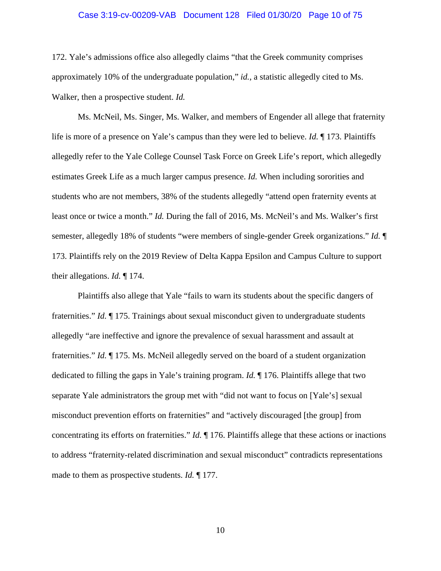#### Case 3:19-cv-00209-VAB Document 128 Filed 01/30/20 Page 10 of 75

172. Yale's admissions office also allegedly claims "that the Greek community comprises approximately 10% of the undergraduate population," *id.*, a statistic allegedly cited to Ms. Walker, then a prospective student. *Id.*

Ms. McNeil, Ms. Singer, Ms. Walker, and members of Engender all allege that fraternity life is more of a presence on Yale's campus than they were led to believe. *Id.* ¶ 173. Plaintiffs allegedly refer to the Yale College Counsel Task Force on Greek Life's report, which allegedly estimates Greek Life as a much larger campus presence. *Id.* When including sororities and students who are not members, 38% of the students allegedly "attend open fraternity events at least once or twice a month." *Id.* During the fall of 2016, Ms. McNeil's and Ms. Walker's first semester, allegedly 18% of students "were members of single-gender Greek organizations." *Id.* ¶ 173. Plaintiffs rely on the 2019 Review of Delta Kappa Epsilon and Campus Culture to support their allegations. *Id.* ¶ 174.

Plaintiffs also allege that Yale "fails to warn its students about the specific dangers of fraternities." *Id.* ¶ 175. Trainings about sexual misconduct given to undergraduate students allegedly "are ineffective and ignore the prevalence of sexual harassment and assault at fraternities." *Id.* ¶ 175. Ms. McNeil allegedly served on the board of a student organization dedicated to filling the gaps in Yale's training program. *Id.* ¶ 176. Plaintiffs allege that two separate Yale administrators the group met with "did not want to focus on [Yale's] sexual misconduct prevention efforts on fraternities" and "actively discouraged [the group] from concentrating its efforts on fraternities." *Id.* ¶ 176. Plaintiffs allege that these actions or inactions to address "fraternity-related discrimination and sexual misconduct" contradicts representations made to them as prospective students. *Id.* ¶ 177.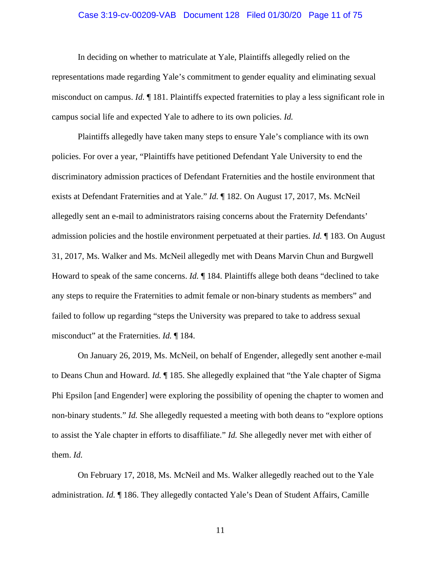## Case 3:19-cv-00209-VAB Document 128 Filed 01/30/20 Page 11 of 75

In deciding on whether to matriculate at Yale, Plaintiffs allegedly relied on the representations made regarding Yale's commitment to gender equality and eliminating sexual misconduct on campus. *Id.* ¶ 181. Plaintiffs expected fraternities to play a less significant role in campus social life and expected Yale to adhere to its own policies. *Id.*

Plaintiffs allegedly have taken many steps to ensure Yale's compliance with its own policies. For over a year, "Plaintiffs have petitioned Defendant Yale University to end the discriminatory admission practices of Defendant Fraternities and the hostile environment that exists at Defendant Fraternities and at Yale." *Id.* ¶ 182. On August 17, 2017, Ms. McNeil allegedly sent an e-mail to administrators raising concerns about the Fraternity Defendants' admission policies and the hostile environment perpetuated at their parties. *Id.* ¶ 183. On August 31, 2017, Ms. Walker and Ms. McNeil allegedly met with Deans Marvin Chun and Burgwell Howard to speak of the same concerns. *Id.* ¶ 184. Plaintiffs allege both deans "declined to take any steps to require the Fraternities to admit female or non-binary students as members" and failed to follow up regarding "steps the University was prepared to take to address sexual misconduct" at the Fraternities. *Id.* ¶ 184.

On January 26, 2019, Ms. McNeil, on behalf of Engender, allegedly sent another e-mail to Deans Chun and Howard. *Id.* ¶ 185. She allegedly explained that "the Yale chapter of Sigma Phi Epsilon [and Engender] were exploring the possibility of opening the chapter to women and non-binary students." *Id.* She allegedly requested a meeting with both deans to "explore options to assist the Yale chapter in efforts to disaffiliate." *Id.* She allegedly never met with either of them. *Id.*

On February 17, 2018, Ms. McNeil and Ms. Walker allegedly reached out to the Yale administration. *Id.* ¶ 186. They allegedly contacted Yale's Dean of Student Affairs, Camille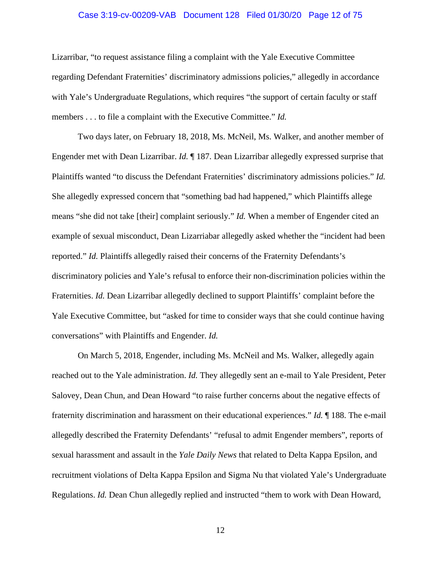## Case 3:19-cv-00209-VAB Document 128 Filed 01/30/20 Page 12 of 75

Lizarribar, "to request assistance filing a complaint with the Yale Executive Committee regarding Defendant Fraternities' discriminatory admissions policies," allegedly in accordance with Yale's Undergraduate Regulations, which requires "the support of certain faculty or staff members . . . to file a complaint with the Executive Committee." *Id.*

Two days later, on February 18, 2018, Ms. McNeil, Ms. Walker, and another member of Engender met with Dean Lizarribar. *Id.* ¶ 187. Dean Lizarribar allegedly expressed surprise that Plaintiffs wanted "to discuss the Defendant Fraternities' discriminatory admissions policies." *Id.* She allegedly expressed concern that "something bad had happened," which Plaintiffs allege means "she did not take [their] complaint seriously." *Id.* When a member of Engender cited an example of sexual misconduct, Dean Lizarriabar allegedly asked whether the "incident had been reported." *Id.* Plaintiffs allegedly raised their concerns of the Fraternity Defendants's discriminatory policies and Yale's refusal to enforce their non-discrimination policies within the Fraternities. *Id.* Dean Lizarribar allegedly declined to support Plaintiffs' complaint before the Yale Executive Committee, but "asked for time to consider ways that she could continue having conversations" with Plaintiffs and Engender. *Id.*

On March 5, 2018, Engender, including Ms. McNeil and Ms. Walker, allegedly again reached out to the Yale administration. *Id.* They allegedly sent an e-mail to Yale President, Peter Salovey, Dean Chun, and Dean Howard "to raise further concerns about the negative effects of fraternity discrimination and harassment on their educational experiences." *Id.* ¶ 188. The e-mail allegedly described the Fraternity Defendants' "refusal to admit Engender members", reports of sexual harassment and assault in the *Yale Daily News* that related to Delta Kappa Epsilon, and recruitment violations of Delta Kappa Epsilon and Sigma Nu that violated Yale's Undergraduate Regulations. *Id.* Dean Chun allegedly replied and instructed "them to work with Dean Howard,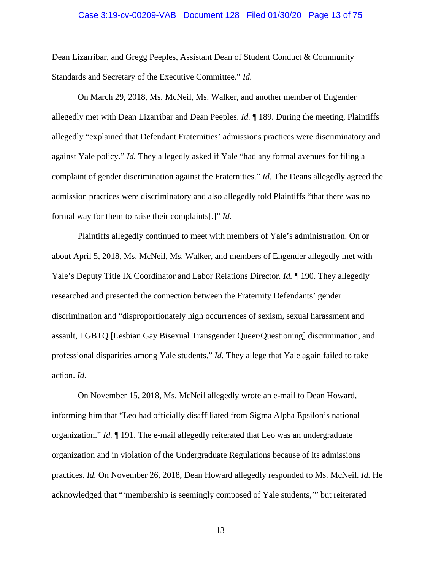## Case 3:19-cv-00209-VAB Document 128 Filed 01/30/20 Page 13 of 75

Dean Lizarribar, and Gregg Peeples, Assistant Dean of Student Conduct & Community Standards and Secretary of the Executive Committee." *Id.*

On March 29, 2018, Ms. McNeil, Ms. Walker, and another member of Engender allegedly met with Dean Lizarribar and Dean Peeples. *Id.* ¶ 189. During the meeting, Plaintiffs allegedly "explained that Defendant Fraternities' admissions practices were discriminatory and against Yale policy." *Id.* They allegedly asked if Yale "had any formal avenues for filing a complaint of gender discrimination against the Fraternities." *Id.* The Deans allegedly agreed the admission practices were discriminatory and also allegedly told Plaintiffs "that there was no formal way for them to raise their complaints[.]" *Id.*

Plaintiffs allegedly continued to meet with members of Yale's administration. On or about April 5, 2018, Ms. McNeil, Ms. Walker, and members of Engender allegedly met with Yale's Deputy Title IX Coordinator and Labor Relations Director. *Id.* ¶ 190. They allegedly researched and presented the connection between the Fraternity Defendants' gender discrimination and "disproportionately high occurrences of sexism, sexual harassment and assault, LGBTQ [Lesbian Gay Bisexual Transgender Queer/Questioning] discrimination, and professional disparities among Yale students." *Id.* They allege that Yale again failed to take action. *Id.*

On November 15, 2018, Ms. McNeil allegedly wrote an e-mail to Dean Howard, informing him that "Leo had officially disaffiliated from Sigma Alpha Epsilon's national organization." *Id.* ¶ 191. The e-mail allegedly reiterated that Leo was an undergraduate organization and in violation of the Undergraduate Regulations because of its admissions practices. *Id.* On November 26, 2018, Dean Howard allegedly responded to Ms. McNeil. *Id.* He acknowledged that "'membership is seemingly composed of Yale students,'" but reiterated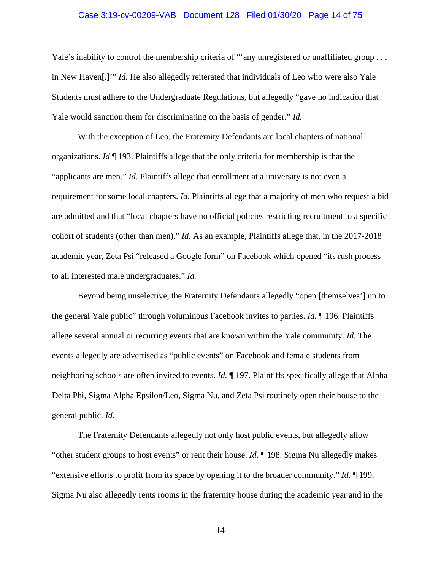## Case 3:19-cv-00209-VAB Document 128 Filed 01/30/20 Page 14 of 75

Yale's inability to control the membership criteria of "'any unregistered or unaffiliated group . . . in New Haven[.]'" *Id.* He also allegedly reiterated that individuals of Leo who were also Yale Students must adhere to the Undergraduate Regulations, but allegedly "gave no indication that Yale would sanction them for discriminating on the basis of gender." *Id.*

With the exception of Leo, the Fraternity Defendants are local chapters of national organizations. *Id* ¶ 193. Plaintiffs allege that the only criteria for membership is that the "applicants are men." *Id.* Plaintiffs allege that enrollment at a university is not even a requirement for some local chapters. *Id.* Plaintiffs allege that a majority of men who request a bid are admitted and that "local chapters have no official policies restricting recruitment to a specific cohort of students (other than men)." *Id.* As an example, Plaintiffs allege that, in the 2017-2018 academic year, Zeta Psi "released a Google form" on Facebook which opened "its rush process to all interested male undergraduates." *Id.*

Beyond being unselective, the Fraternity Defendants allegedly "open [themselves'] up to the general Yale public" through voluminous Facebook invites to parties. *Id.* ¶ 196. Plaintiffs allege several annual or recurring events that are known within the Yale community. *Id.* The events allegedly are advertised as "public events" on Facebook and female students from neighboring schools are often invited to events. *Id.* ¶ 197. Plaintiffs specifically allege that Alpha Delta Phi, Sigma Alpha Epsilon/Leo, Sigma Nu, and Zeta Psi routinely open their house to the general public. *Id.*

The Fraternity Defendants allegedly not only host public events, but allegedly allow "other student groups to host events" or rent their house. *Id.* ¶ 198. Sigma Nu allegedly makes "extensive efforts to profit from its space by opening it to the broader community." *Id.* ¶ 199. Sigma Nu also allegedly rents rooms in the fraternity house during the academic year and in the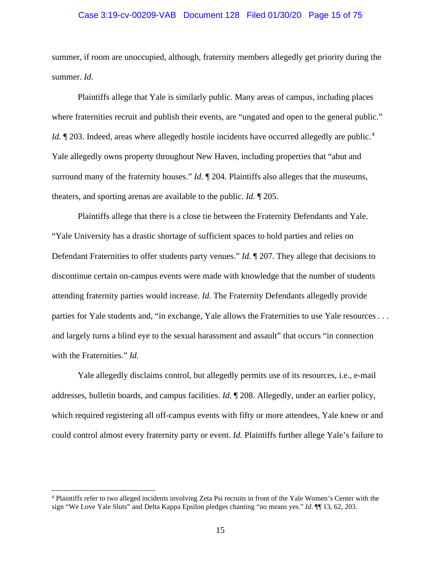## Case 3:19-cv-00209-VAB Document 128 Filed 01/30/20 Page 15 of 75

summer, if room are unoccupied, although, fraternity members allegedly get priority during the summer. *Id.*

Plaintiffs allege that Yale is similarly public. Many areas of campus, including places where fraternities recruit and publish their events, are "ungated and open to the general public." *Id.*  $\parallel$  203. Indeed, areas where allegedly hostile incidents have occurred allegedly are public.<sup>[4](#page-14-0)</sup> Yale allegedly owns property throughout New Haven, including properties that "abut and surround many of the fraternity houses." *Id.* ¶ 204. Plaintiffs also alleges that the museums, theaters, and sporting arenas are available to the public. *Id.* ¶ 205.

Plaintiffs allege that there is a close tie between the Fraternity Defendants and Yale. "Yale University has a drastic shortage of sufficient spaces to hold parties and relies on Defendant Fraternities to offer students party venues." *Id.* ¶ 207. They allege that decisions to discontinue certain on-campus events were made with knowledge that the number of students attending fraternity parties would increase. *Id.* The Fraternity Defendants allegedly provide parties for Yale students and, "in exchange, Yale allows the Fraternities to use Yale resources . . . and largely turns a blind eye to the sexual harassment and assault" that occurs "in connection with the Fraternities." *Id.*

Yale allegedly disclaims control, but allegedly permits use of its resources, i.e., e-mail addresses, bulletin boards, and campus facilities. *Id.* ¶ 208. Allegedly, under an earlier policy, which required registering all off-campus events with fifty or more attendees, Yale knew or and could control almost every fraternity party or event. *Id.* Plaintiffs further allege Yale's failure to

<span id="page-14-0"></span><sup>4</sup> Plaintiffs refer to two alleged incidents involving Zeta Psi recruits in front of the Yale Women's Center with the sign "We Love Yale Sluts" and Delta Kappa Epsilon pledges chanting "no means yes." *Id*. ¶¶ 13, 62, 203.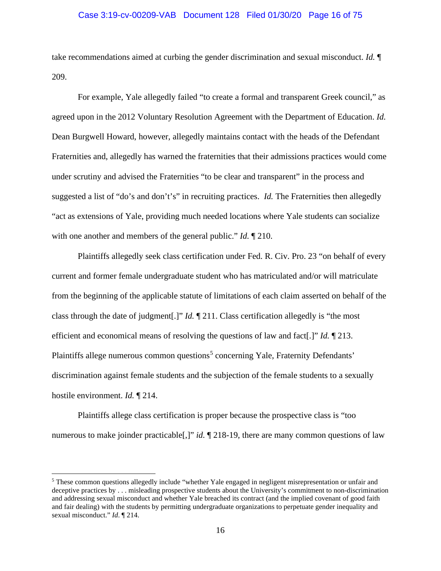## Case 3:19-cv-00209-VAB Document 128 Filed 01/30/20 Page 16 of 75

take recommendations aimed at curbing the gender discrimination and sexual misconduct. *Id.* ¶ 209.

For example, Yale allegedly failed "to create a formal and transparent Greek council," as agreed upon in the 2012 Voluntary Resolution Agreement with the Department of Education. *Id.* Dean Burgwell Howard, however, allegedly maintains contact with the heads of the Defendant Fraternities and, allegedly has warned the fraternities that their admissions practices would come under scrutiny and advised the Fraternities "to be clear and transparent" in the process and suggested a list of "do's and don't's" in recruiting practices. *Id.* The Fraternities then allegedly "act as extensions of Yale, providing much needed locations where Yale students can socialize with one another and members of the general public." *Id.* ¶ 210.

Plaintiffs allegedly seek class certification under Fed. R. Civ. Pro. 23 "on behalf of every current and former female undergraduate student who has matriculated and/or will matriculate from the beginning of the applicable statute of limitations of each claim asserted on behalf of the class through the date of judgment[.]" *Id.* ¶ 211. Class certification allegedly is "the most efficient and economical means of resolving the questions of law and fact[.]" *Id.* ¶ 213. Plaintiffs allege numerous common questions<sup>[5](#page-15-0)</sup> concerning Yale, Fraternity Defendants' discrimination against female students and the subjection of the female students to a sexually hostile environment. *Id.* ¶ 214.

Plaintiffs allege class certification is proper because the prospective class is "too numerous to make joinder practicable<sup>[1]</sup>, *id.* 1218-19, there are many common questions of law

<span id="page-15-0"></span><sup>5</sup> These common questions allegedly include "whether Yale engaged in negligent misrepresentation or unfair and deceptive practices by . . . misleading prospective students about the University's commitment to non-discrimination and addressing sexual misconduct and whether Yale breached its contract (and the implied covenant of good faith and fair dealing) with the students by permitting undergraduate organizations to perpetuate gender inequality and sexual misconduct." *Id*. ¶ 214.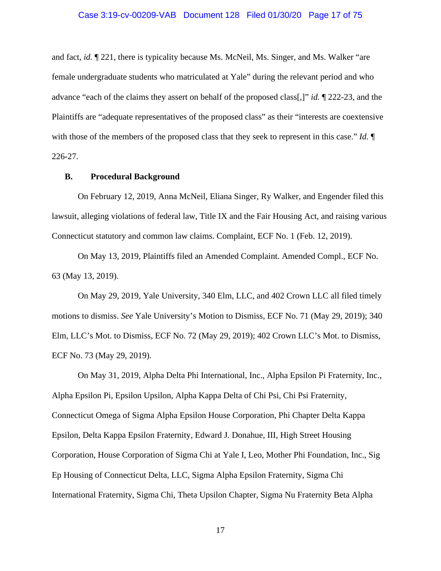## Case 3:19-cv-00209-VAB Document 128 Filed 01/30/20 Page 17 of 75

and fact, *id.* ¶ 221, there is typicality because Ms. McNeil, Ms. Singer, and Ms. Walker "are female undergraduate students who matriculated at Yale" during the relevant period and who advance "each of the claims they assert on behalf of the proposed class[,]" *id.* ¶ 222-23, and the Plaintiffs are "adequate representatives of the proposed class" as their "interests are coextensive with those of the members of the proposed class that they seek to represent in this case." *Id.* ¶ 226-27.

#### **B. Procedural Background**

On February 12, 2019, Anna McNeil, Eliana Singer, Ry Walker, and Engender filed this lawsuit, alleging violations of federal law, Title IX and the Fair Housing Act, and raising various Connecticut statutory and common law claims. Complaint, ECF No. 1 (Feb. 12, 2019).

On May 13, 2019, Plaintiffs filed an Amended Complaint. Amended Compl., ECF No. 63 (May 13, 2019).

On May 29, 2019, Yale University, 340 Elm, LLC, and 402 Crown LLC all filed timely motions to dismiss. *See* Yale University's Motion to Dismiss, ECF No. 71 (May 29, 2019); 340 Elm, LLC's Mot. to Dismiss, ECF No. 72 (May 29, 2019); 402 Crown LLC's Mot. to Dismiss, ECF No. 73 (May 29, 2019).

On May 31, 2019, Alpha Delta Phi International, Inc., Alpha Epsilon Pi Fraternity, Inc., Alpha Epsilon Pi, Epsilon Upsilon, Alpha Kappa Delta of Chi Psi, Chi Psi Fraternity, Connecticut Omega of Sigma Alpha Epsilon House Corporation, Phi Chapter Delta Kappa Epsilon, Delta Kappa Epsilon Fraternity, Edward J. Donahue, III, High Street Housing Corporation, House Corporation of Sigma Chi at Yale I, Leo, Mother Phi Foundation, Inc., Sig Ep Housing of Connecticut Delta, LLC, Sigma Alpha Epsilon Fraternity, Sigma Chi International Fraternity, Sigma Chi, Theta Upsilon Chapter, Sigma Nu Fraternity Beta Alpha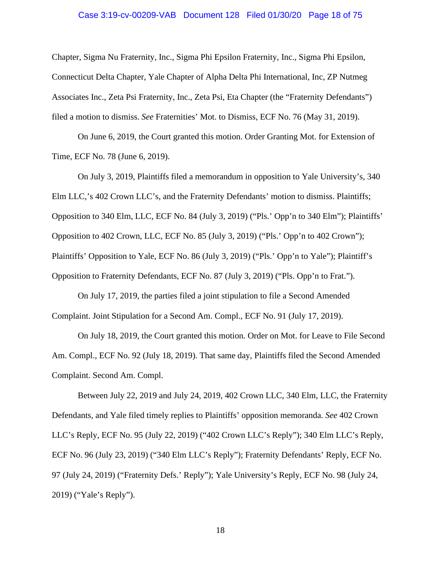## Case 3:19-cv-00209-VAB Document 128 Filed 01/30/20 Page 18 of 75

Chapter, Sigma Nu Fraternity, Inc., Sigma Phi Epsilon Fraternity, Inc., Sigma Phi Epsilon, Connecticut Delta Chapter, Yale Chapter of Alpha Delta Phi International, Inc, ZP Nutmeg Associates Inc., Zeta Psi Fraternity, Inc., Zeta Psi, Eta Chapter (the "Fraternity Defendants") filed a motion to dismiss. *See* Fraternities' Mot. to Dismiss, ECF No. 76 (May 31, 2019).

On June 6, 2019, the Court granted this motion. Order Granting Mot. for Extension of Time, ECF No. 78 (June 6, 2019).

On July 3, 2019, Plaintiffs filed a memorandum in opposition to Yale University's, 340 Elm LLC,'s 402 Crown LLC's, and the Fraternity Defendants' motion to dismiss. Plaintiffs; Opposition to 340 Elm, LLC, ECF No. 84 (July 3, 2019) ("Pls.' Opp'n to 340 Elm"); Plaintiffs' Opposition to 402 Crown, LLC, ECF No. 85 (July 3, 2019) ("Pls.' Opp'n to 402 Crown"); Plaintiffs' Opposition to Yale, ECF No. 86 (July 3, 2019) ("Pls.' Opp'n to Yale"); Plaintiff's Opposition to Fraternity Defendants, ECF No. 87 (July 3, 2019) ("Pls. Opp'n to Frat.").

On July 17, 2019, the parties filed a joint stipulation to file a Second Amended Complaint. Joint Stipulation for a Second Am. Compl., ECF No. 91 (July 17, 2019).

On July 18, 2019, the Court granted this motion. Order on Mot. for Leave to File Second Am. Compl., ECF No. 92 (July 18, 2019). That same day, Plaintiffs filed the Second Amended Complaint. Second Am. Compl.

Between July 22, 2019 and July 24, 2019, 402 Crown LLC, 340 Elm, LLC, the Fraternity Defendants, and Yale filed timely replies to Plaintiffs' opposition memoranda. *See* 402 Crown LLC's Reply, ECF No. 95 (July 22, 2019) ("402 Crown LLC's Reply"); 340 Elm LLC's Reply, ECF No. 96 (July 23, 2019) ("340 Elm LLC's Reply"); Fraternity Defendants' Reply, ECF No. 97 (July 24, 2019) ("Fraternity Defs.' Reply"); Yale University's Reply, ECF No. 98 (July 24, 2019) ("Yale's Reply").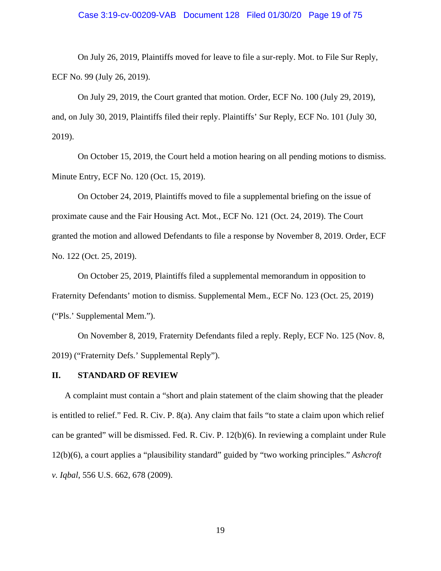#### Case 3:19-cv-00209-VAB Document 128 Filed 01/30/20 Page 19 of 75

On July 26, 2019, Plaintiffs moved for leave to file a sur-reply. Mot. to File Sur Reply, ECF No. 99 (July 26, 2019).

On July 29, 2019, the Court granted that motion. Order, ECF No. 100 (July 29, 2019), and, on July 30, 2019, Plaintiffs filed their reply. Plaintiffs' Sur Reply, ECF No. 101 (July 30, 2019).

On October 15, 2019, the Court held a motion hearing on all pending motions to dismiss. Minute Entry, ECF No. 120 (Oct. 15, 2019).

On October 24, 2019, Plaintiffs moved to file a supplemental briefing on the issue of proximate cause and the Fair Housing Act. Mot., ECF No. 121 (Oct. 24, 2019). The Court granted the motion and allowed Defendants to file a response by November 8, 2019. Order, ECF No. 122 (Oct. 25, 2019).

On October 25, 2019, Plaintiffs filed a supplemental memorandum in opposition to Fraternity Defendants' motion to dismiss. Supplemental Mem., ECF No. 123 (Oct. 25, 2019) ("Pls.' Supplemental Mem.").

On November 8, 2019, Fraternity Defendants filed a reply. Reply, ECF No. 125 (Nov. 8, 2019) ("Fraternity Defs.' Supplemental Reply").

#### **II. STANDARD OF REVIEW**

A complaint must contain a "short and plain statement of the claim showing that the pleader is entitled to relief." Fed. R. Civ. P. 8(a). Any claim that fails "to state a claim upon which relief can be granted" will be dismissed. Fed. R. Civ. P. 12(b)(6). In reviewing a complaint under Rule 12(b)(6), a court applies a "plausibility standard" guided by "two working principles." *Ashcroft v. Iqbal*, 556 U.S. 662, 678 (2009).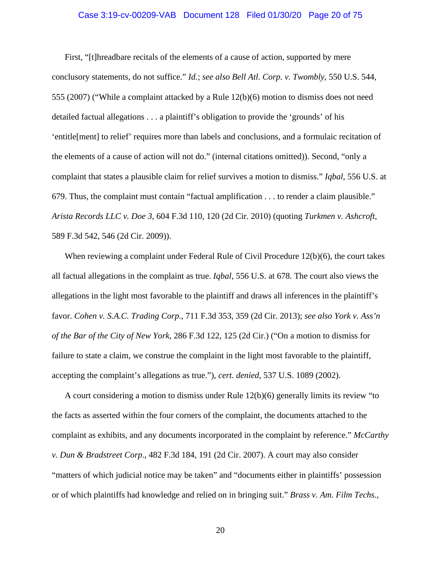## Case 3:19-cv-00209-VAB Document 128 Filed 01/30/20 Page 20 of 75

First, "[t]hreadbare recitals of the elements of a cause of action, supported by mere conclusory statements, do not suffice." *Id.*; *see also Bell Atl. Corp. v. Twombly*, 550 U.S. 544, 555 (2007) ("While a complaint attacked by a Rule 12(b)(6) motion to dismiss does not need detailed factual allegations . . . a plaintiff's obligation to provide the 'grounds' of his 'entitle[ment] to relief' requires more than labels and conclusions, and a formulaic recitation of the elements of a cause of action will not do." (internal citations omitted)). Second, "only a complaint that states a plausible claim for relief survives a motion to dismiss." *Iqbal*, 556 U.S. at 679. Thus, the complaint must contain "factual amplification . . . to render a claim plausible." *Arista Records LLC v. Doe 3*, 604 F.3d 110, 120 (2d Cir. 2010) (quoting *Turkmen v. Ashcroft*, 589 F.3d 542, 546 (2d Cir. 2009)).

When reviewing a complaint under Federal Rule of Civil Procedure  $12(b)(6)$ , the court takes all factual allegations in the complaint as true. *Iqbal*, 556 U.S. at 678*.* The court also views the allegations in the light most favorable to the plaintiff and draws all inferences in the plaintiff's favor. *Cohen v. S.A.C. Trading Corp.*, 711 F.3d 353, 359 (2d Cir. 2013); *see also York v. Ass'n of the Bar of the City of New York*, 286 F.3d 122, 125 (2d Cir.) ("On a motion to dismiss for failure to state a claim, we construe the complaint in the light most favorable to the plaintiff, accepting the complaint's allegations as true."), *cert. denied*, 537 U.S. 1089 (2002).

A court considering a motion to dismiss under Rule 12(b)(6) generally limits its review "to the facts as asserted within the four corners of the complaint, the documents attached to the complaint as exhibits, and any documents incorporated in the complaint by reference." *McCarthy v. Dun & Bradstreet Corp.*, 482 F.3d 184, 191 (2d Cir. 2007). A court may also consider "matters of which judicial notice may be taken" and "documents either in plaintiffs' possession or of which plaintiffs had knowledge and relied on in bringing suit." *Brass v. Am. Film Techs.,*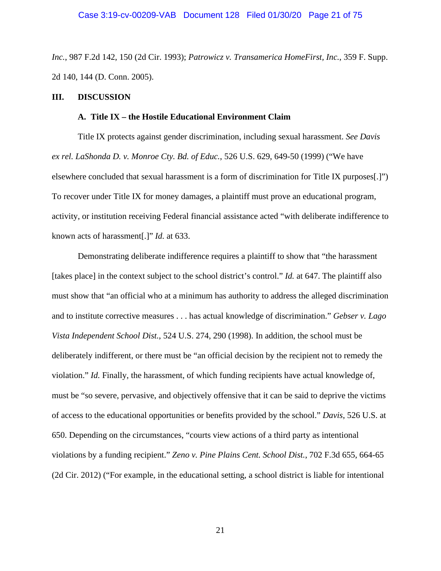*Inc.*, 987 F.2d 142, 150 (2d Cir. 1993); *Patrowicz v. Transamerica HomeFirst, Inc.*, 359 F. Supp. 2d 140, 144 (D. Conn. 2005).

#### **III. DISCUSSION**

#### **A. Title IX – the Hostile Educational Environment Claim**

Title IX protects against gender discrimination, including sexual harassment. *See Davis ex rel. LaShonda D. v. Monroe Cty. Bd. of Educ.*, 526 U.S. 629, 649-50 (1999) ("We have elsewhere concluded that sexual harassment is a form of discrimination for Title IX purposes[.]") To recover under Title IX for money damages, a plaintiff must prove an educational program, activity, or institution receiving Federal financial assistance acted "with deliberate indifference to known acts of harassment[.]" *Id.* at 633.

Demonstrating deliberate indifference requires a plaintiff to show that "the harassment [takes place] in the context subject to the school district's control." *Id.* at 647. The plaintiff also must show that "an official who at a minimum has authority to address the alleged discrimination and to institute corrective measures . . . has actual knowledge of discrimination." *Gebser v. Lago Vista Independent School Dist.*, 524 U.S. 274, 290 (1998). In addition, the school must be deliberately indifferent, or there must be "an official decision by the recipient not to remedy the violation." *Id.* Finally, the harassment, of which funding recipients have actual knowledge of, must be "so severe, pervasive, and objectively offensive that it can be said to deprive the victims of access to the educational opportunities or benefits provided by the school." *Davis*, 526 U.S. at 650. Depending on the circumstances, "courts view actions of a third party as intentional violations by a funding recipient." *Zeno v. Pine Plains Cent. School Dist.*, 702 F.3d 655, 664-65 (2d Cir. 2012) ("For example, in the educational setting, a school district is liable for intentional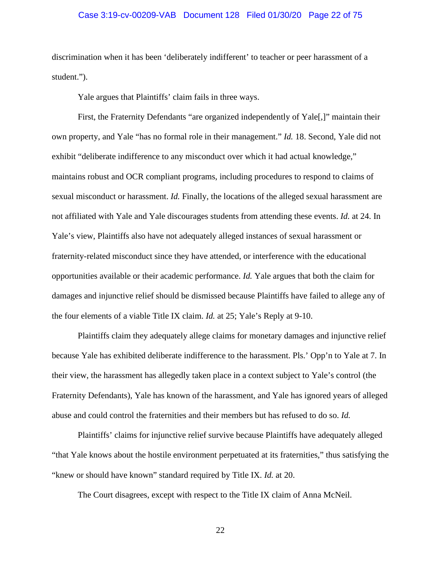## Case 3:19-cv-00209-VAB Document 128 Filed 01/30/20 Page 22 of 75

discrimination when it has been 'deliberately indifferent' to teacher or peer harassment of a student.").

Yale argues that Plaintiffs' claim fails in three ways.

First, the Fraternity Defendants "are organized independently of Yale<sup>[1]</sup>" maintain their own property, and Yale "has no formal role in their management." *Id.* 18. Second, Yale did not exhibit "deliberate indifference to any misconduct over which it had actual knowledge," maintains robust and OCR compliant programs, including procedures to respond to claims of sexual misconduct or harassment. *Id.* Finally, the locations of the alleged sexual harassment are not affiliated with Yale and Yale discourages students from attending these events. *Id.* at 24. In Yale's view, Plaintiffs also have not adequately alleged instances of sexual harassment or fraternity-related misconduct since they have attended, or interference with the educational opportunities available or their academic performance. *Id.* Yale argues that both the claim for damages and injunctive relief should be dismissed because Plaintiffs have failed to allege any of the four elements of a viable Title IX claim. *Id.* at 25; Yale's Reply at 9-10.

Plaintiffs claim they adequately allege claims for monetary damages and injunctive relief because Yale has exhibited deliberate indifference to the harassment. Pls.' Opp'n to Yale at 7. In their view, the harassment has allegedly taken place in a context subject to Yale's control (the Fraternity Defendants), Yale has known of the harassment, and Yale has ignored years of alleged abuse and could control the fraternities and their members but has refused to do so. *Id.*

Plaintiffs' claims for injunctive relief survive because Plaintiffs have adequately alleged "that Yale knows about the hostile environment perpetuated at its fraternities," thus satisfying the "knew or should have known" standard required by Title IX. *Id.* at 20.

The Court disagrees, except with respect to the Title IX claim of Anna McNeil.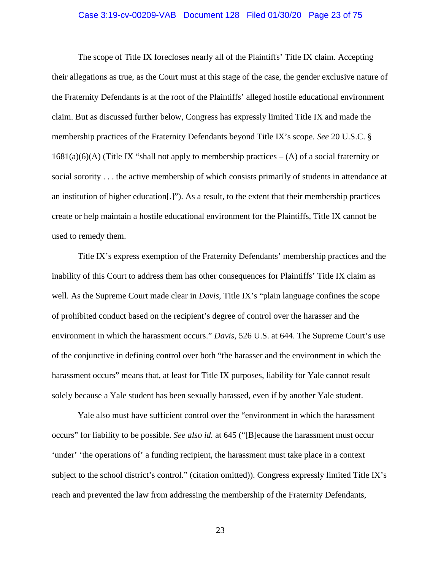## Case 3:19-cv-00209-VAB Document 128 Filed 01/30/20 Page 23 of 75

The scope of Title IX forecloses nearly all of the Plaintiffs' Title IX claim. Accepting their allegations as true, as the Court must at this stage of the case, the gender exclusive nature of the Fraternity Defendants is at the root of the Plaintiffs' alleged hostile educational environment claim. But as discussed further below, Congress has expressly limited Title IX and made the membership practices of the Fraternity Defendants beyond Title IX's scope. *See* 20 U.S.C. §  $1681(a)(6)(A)$  (Title IX "shall not apply to membership practices  $-(A)$  of a social fraternity or social sorority . . . the active membership of which consists primarily of students in attendance at an institution of higher education[.]"). As a result, to the extent that their membership practices create or help maintain a hostile educational environment for the Plaintiffs, Title IX cannot be used to remedy them.

Title IX's express exemption of the Fraternity Defendants' membership practices and the inability of this Court to address them has other consequences for Plaintiffs' Title IX claim as well. As the Supreme Court made clear in *Davis*, Title IX's "plain language confines the scope of prohibited conduct based on the recipient's degree of control over the harasser and the environment in which the harassment occurs." *Davis*, 526 U.S. at 644. The Supreme Court's use of the conjunctive in defining control over both "the harasser and the environment in which the harassment occurs" means that, at least for Title IX purposes, liability for Yale cannot result solely because a Yale student has been sexually harassed, even if by another Yale student.

Yale also must have sufficient control over the "environment in which the harassment occurs" for liability to be possible. *See also id.* at 645 ("[B]ecause the harassment must occur 'under' 'the operations of' a funding recipient, the harassment must take place in a context subject to the school district's control." (citation omitted)). Congress expressly limited Title IX's reach and prevented the law from addressing the membership of the Fraternity Defendants,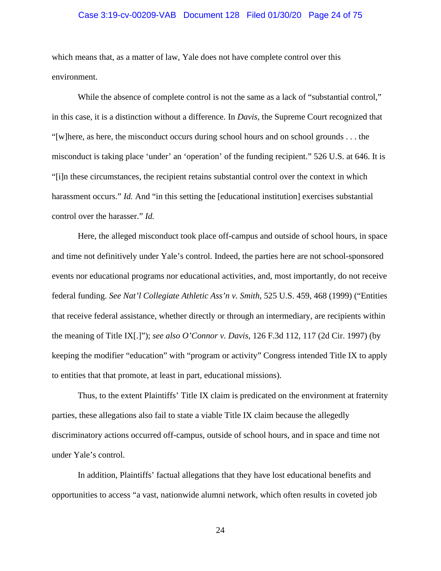## Case 3:19-cv-00209-VAB Document 128 Filed 01/30/20 Page 24 of 75

which means that, as a matter of law, Yale does not have complete control over this environment.

While the absence of complete control is not the same as a lack of "substantial control," in this case, it is a distinction without a difference. In *Davis*, the Supreme Court recognized that "[w]here, as here, the misconduct occurs during school hours and on school grounds . . . the misconduct is taking place 'under' an 'operation' of the funding recipient." 526 U.S. at 646. It is "[i]n these circumstances, the recipient retains substantial control over the context in which harassment occurs." *Id.* And "in this setting the [educational institution] exercises substantial control over the harasser." *Id.*

Here, the alleged misconduct took place off-campus and outside of school hours, in space and time not definitively under Yale's control. Indeed, the parties here are not school-sponsored events nor educational programs nor educational activities, and, most importantly, do not receive federal funding. *See Nat'l Collegiate Athletic Ass'n v. Smith*, 525 U.S. 459, 468 (1999) ("Entities that receive federal assistance, whether directly or through an intermediary, are recipients within the meaning of Title IX[.]"); *see also O'Connor v. Davis*, 126 F.3d 112, 117 (2d Cir. 1997) (by keeping the modifier "education" with "program or activity" Congress intended Title IX to apply to entities that that promote, at least in part, educational missions).

Thus, to the extent Plaintiffs' Title IX claim is predicated on the environment at fraternity parties, these allegations also fail to state a viable Title IX claim because the allegedly discriminatory actions occurred off-campus, outside of school hours, and in space and time not under Yale's control.

In addition, Plaintiffs' factual allegations that they have lost educational benefits and opportunities to access "a vast, nationwide alumni network, which often results in coveted job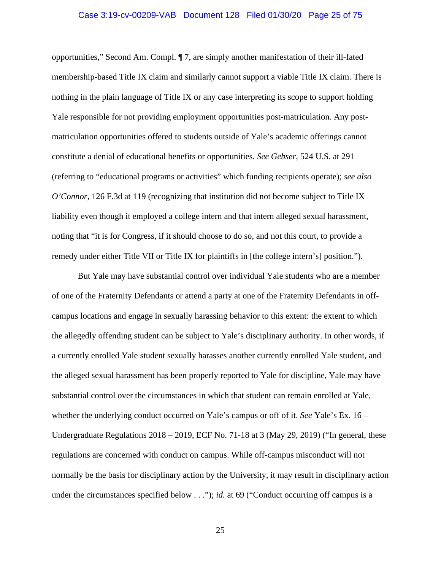## Case 3:19-cv-00209-VAB Document 128 Filed 01/30/20 Page 25 of 75

opportunities," Second Am. Compl. ¶ 7, are simply another manifestation of their ill-fated membership-based Title IX claim and similarly cannot support a viable Title IX claim. There is nothing in the plain language of Title IX or any case interpreting its scope to support holding Yale responsible for not providing employment opportunities post-matriculation. Any postmatriculation opportunities offered to students outside of Yale's academic offerings cannot constitute a denial of educational benefits or opportunities. *See Gebser*, 524 U.S. at 291 (referring to "educational programs or activities" which funding recipients operate); *see also O'Connor*, 126 F.3d at 119 (recognizing that institution did not become subject to Title IX liability even though it employed a college intern and that intern alleged sexual harassment, noting that "it is for Congress, if it should choose to do so, and not this court, to provide a remedy under either Title VII or Title IX for plaintiffs in [the college intern's] position.").

But Yale may have substantial control over individual Yale students who are a member of one of the Fraternity Defendants or attend a party at one of the Fraternity Defendants in offcampus locations and engage in sexually harassing behavior to this extent: the extent to which the allegedly offending student can be subject to Yale's disciplinary authority. In other words, if a currently enrolled Yale student sexually harasses another currently enrolled Yale student, and the alleged sexual harassment has been properly reported to Yale for discipline, Yale may have substantial control over the circumstances in which that student can remain enrolled at Yale, whether the underlying conduct occurred on Yale's campus or off of it. *See* Yale's Ex. 16 – Undergraduate Regulations 2018 – 2019, ECF No. 71-18 at 3 (May 29, 2019) ("In general, these regulations are concerned with conduct on campus. While off-campus misconduct will not normally be the basis for disciplinary action by the University, it may result in disciplinary action under the circumstances specified below . . ."); *id.* at 69 ("Conduct occurring off campus is a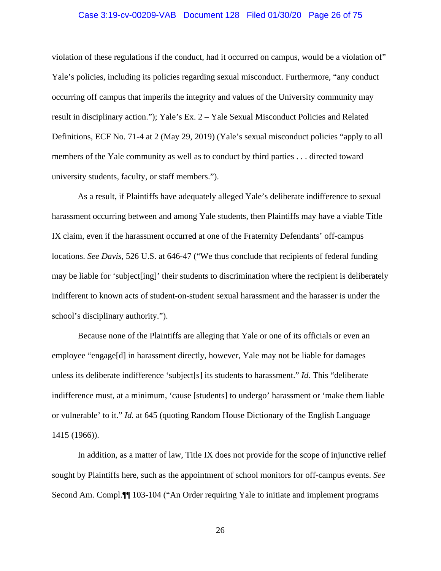## Case 3:19-cv-00209-VAB Document 128 Filed 01/30/20 Page 26 of 75

violation of these regulations if the conduct, had it occurred on campus, would be a violation of" Yale's policies, including its policies regarding sexual misconduct. Furthermore, "any conduct occurring off campus that imperils the integrity and values of the University community may result in disciplinary action."); Yale's Ex. 2 – Yale Sexual Misconduct Policies and Related Definitions, ECF No. 71-4 at 2 (May 29, 2019) (Yale's sexual misconduct policies "apply to all members of the Yale community as well as to conduct by third parties . . . directed toward university students, faculty, or staff members.").

As a result, if Plaintiffs have adequately alleged Yale's deliberate indifference to sexual harassment occurring between and among Yale students, then Plaintiffs may have a viable Title IX claim, even if the harassment occurred at one of the Fraternity Defendants' off-campus locations. *See Davis*, 526 U.S. at 646-47 ("We thus conclude that recipients of federal funding may be liable for 'subject[ing]' their students to discrimination where the recipient is deliberately indifferent to known acts of student-on-student sexual harassment and the harasser is under the school's disciplinary authority.").

Because none of the Plaintiffs are alleging that Yale or one of its officials or even an employee "engage[d] in harassment directly, however, Yale may not be liable for damages unless its deliberate indifference 'subject[s] its students to harassment." *Id.* This "deliberate indifference must, at a minimum, 'cause [students] to undergo' harassment or 'make them liable or vulnerable' to it." *Id.* at 645 (quoting Random House Dictionary of the English Language 1415 (1966)).

In addition, as a matter of law, Title IX does not provide for the scope of injunctive relief sought by Plaintiffs here, such as the appointment of school monitors for off-campus events. *See*  Second Am. Compl.¶¶ 103-104 ("An Order requiring Yale to initiate and implement programs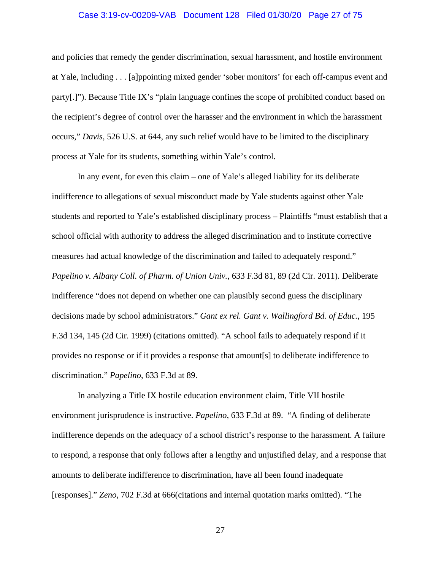## Case 3:19-cv-00209-VAB Document 128 Filed 01/30/20 Page 27 of 75

and policies that remedy the gender discrimination, sexual harassment, and hostile environment at Yale, including . . . [a]ppointing mixed gender 'sober monitors' for each off-campus event and party[.]"). Because Title IX's "plain language confines the scope of prohibited conduct based on the recipient's degree of control over the harasser and the environment in which the harassment occurs," *Davis*, 526 U.S. at 644, any such relief would have to be limited to the disciplinary process at Yale for its students, something within Yale's control.

In any event, for even this claim – one of Yale's alleged liability for its deliberate indifference to allegations of sexual misconduct made by Yale students against other Yale students and reported to Yale's established disciplinary process – Plaintiffs "must establish that a school official with authority to address the alleged discrimination and to institute corrective measures had actual knowledge of the discrimination and failed to adequately respond." *Papelino v. Albany Coll. of Pharm. of Union Univ.*, 633 F.3d 81, 89 (2d Cir. 2011). Deliberate indifference "does not depend on whether one can plausibly second guess the disciplinary decisions made by school administrators." *Gant ex rel. Gant v. Wallingford Bd. of Educ.*, 195 F.3d 134, 145 (2d Cir. 1999) (citations omitted). "A school fails to adequately respond if it provides no response or if it provides a response that amount[s] to deliberate indifference to discrimination." *Papelino*, 633 F.3d at 89.

In analyzing a Title IX hostile education environment claim, Title VII hostile environment jurisprudence is instructive. *Papelino*, 633 F.3d at 89. "A finding of deliberate indifference depends on the adequacy of a school district's response to the harassment. A failure to respond, a response that only follows after a lengthy and unjustified delay, and a response that amounts to deliberate indifference to discrimination, have all been found inadequate [responses]." *Zeno*, 702 F.3d at 666(citations and internal quotation marks omitted). "The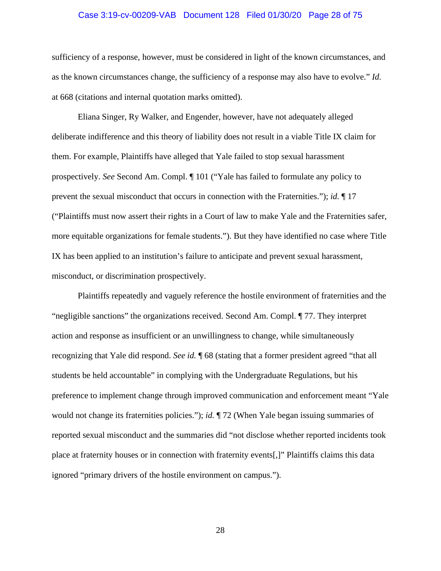## Case 3:19-cv-00209-VAB Document 128 Filed 01/30/20 Page 28 of 75

sufficiency of a response, however, must be considered in light of the known circumstances, and as the known circumstances change, the sufficiency of a response may also have to evolve." *Id.* at 668 (citations and internal quotation marks omitted).

Eliana Singer, Ry Walker, and Engender, however, have not adequately alleged deliberate indifference and this theory of liability does not result in a viable Title IX claim for them. For example, Plaintiffs have alleged that Yale failed to stop sexual harassment prospectively. *See* Second Am. Compl. ¶ 101 ("Yale has failed to formulate any policy to prevent the sexual misconduct that occurs in connection with the Fraternities."); *id.* ¶ 17 ("Plaintiffs must now assert their rights in a Court of law to make Yale and the Fraternities safer, more equitable organizations for female students."). But they have identified no case where Title IX has been applied to an institution's failure to anticipate and prevent sexual harassment, misconduct, or discrimination prospectively.

Plaintiffs repeatedly and vaguely reference the hostile environment of fraternities and the "negligible sanctions" the organizations received. Second Am. Compl. ¶ 77. They interpret action and response as insufficient or an unwillingness to change, while simultaneously recognizing that Yale did respond. *See id.* ¶ 68 (stating that a former president agreed "that all students be held accountable" in complying with the Undergraduate Regulations, but his preference to implement change through improved communication and enforcement meant "Yale would not change its fraternities policies."); *id.* ¶ 72 (When Yale began issuing summaries of reported sexual misconduct and the summaries did "not disclose whether reported incidents took place at fraternity houses or in connection with fraternity events[,]" Plaintiffs claims this data ignored "primary drivers of the hostile environment on campus.").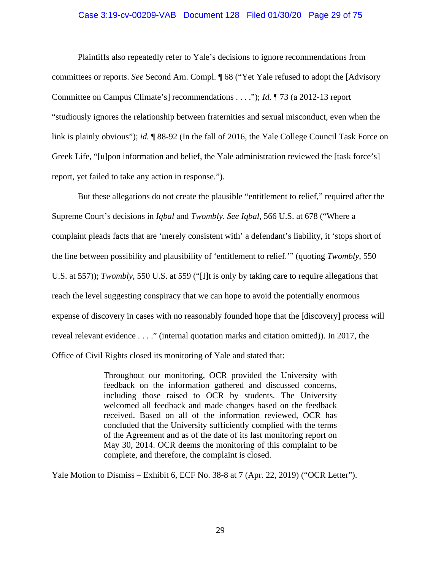#### Case 3:19-cv-00209-VAB Document 128 Filed 01/30/20 Page 29 of 75

Plaintiffs also repeatedly refer to Yale's decisions to ignore recommendations from committees or reports. *See* Second Am. Compl. ¶ 68 ("Yet Yale refused to adopt the [Advisory Committee on Campus Climate's] recommendations . . . ."); *Id.* ¶ 73 (a 2012-13 report "studiously ignores the relationship between fraternities and sexual misconduct, even when the link is plainly obvious"); *id.* ¶ 88-92 (In the fall of 2016, the Yale College Council Task Force on Greek Life, "[u]pon information and belief, the Yale administration reviewed the [task force's] report, yet failed to take any action in response.").

But these allegations do not create the plausible "entitlement to relief," required after the Supreme Court's decisions in *Iqbal* and *Twombly*. *See Iqbal*, 566 U.S. at 678 ("Where a complaint pleads facts that are 'merely consistent with' a defendant's liability, it 'stops short of the line between possibility and plausibility of 'entitlement to relief.'" (quoting *Twombly*, 550 U.S. at 557)); *Twombly*, 550 U.S. at 559 ("[I]t is only by taking care to require allegations that reach the level suggesting conspiracy that we can hope to avoid the potentially enormous expense of discovery in cases with no reasonably founded hope that the [discovery] process will reveal relevant evidence . . . ." (internal quotation marks and citation omitted)). In 2017, the Office of Civil Rights closed its monitoring of Yale and stated that:

> Throughout our monitoring, OCR provided the University with feedback on the information gathered and discussed concerns, including those raised to OCR by students. The University welcomed all feedback and made changes based on the feedback received. Based on all of the information reviewed, OCR has concluded that the University sufficiently complied with the terms of the Agreement and as of the date of its last monitoring report on May 30, 2014. OCR deems the monitoring of this complaint to be complete, and therefore, the complaint is closed.

Yale Motion to Dismiss – Exhibit 6, ECF No. 38-8 at 7 (Apr. 22, 2019) ("OCR Letter").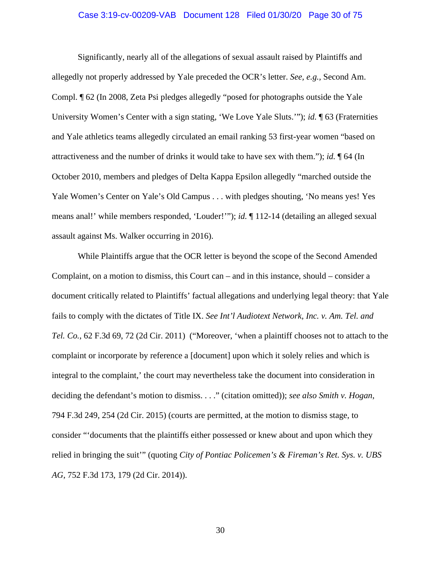## Case 3:19-cv-00209-VAB Document 128 Filed 01/30/20 Page 30 of 75

Significantly, nearly all of the allegations of sexual assault raised by Plaintiffs and allegedly not properly addressed by Yale preceded the OCR's letter. *See, e.g.,* Second Am. Compl. ¶ 62 (In 2008, Zeta Psi pledges allegedly "posed for photographs outside the Yale University Women's Center with a sign stating, 'We Love Yale Sluts.'"); *id.* ¶ 63 (Fraternities and Yale athletics teams allegedly circulated an email ranking 53 first-year women "based on attractiveness and the number of drinks it would take to have sex with them."); *id.* ¶ 64 (In October 2010, members and pledges of Delta Kappa Epsilon allegedly "marched outside the Yale Women's Center on Yale's Old Campus . . . with pledges shouting, 'No means yes! Yes means anal!' while members responded, 'Louder!'"); *id.* ¶ 112-14 (detailing an alleged sexual assault against Ms. Walker occurring in 2016).

While Plaintiffs argue that the OCR letter is beyond the scope of the Second Amended Complaint, on a motion to dismiss, this Court can – and in this instance, should – consider a document critically related to Plaintiffs' factual allegations and underlying legal theory: that Yale fails to comply with the dictates of Title IX. *See Int'l Audiotext Network, Inc. v. Am. Tel. and Tel. Co.*, 62 F.3d 69, 72 (2d Cir. 2011) ("Moreover, 'when a plaintiff chooses not to attach to the complaint or incorporate by reference a [document] upon which it solely relies and which is integral to the complaint,' the court may nevertheless take the document into consideration in deciding the defendant's motion to dismiss. . . ." (citation omitted)); *see also Smith v. Hogan*, 794 F.3d 249, 254 (2d Cir. 2015) (courts are permitted, at the motion to dismiss stage, to consider "'documents that the plaintiffs either possessed or knew about and upon which they relied in bringing the suit'" (quoting *City of Pontiac Policemen's & Fireman's Ret. Sys. v. UBS AG*, 752 F.3d 173, 179 (2d Cir. 2014)).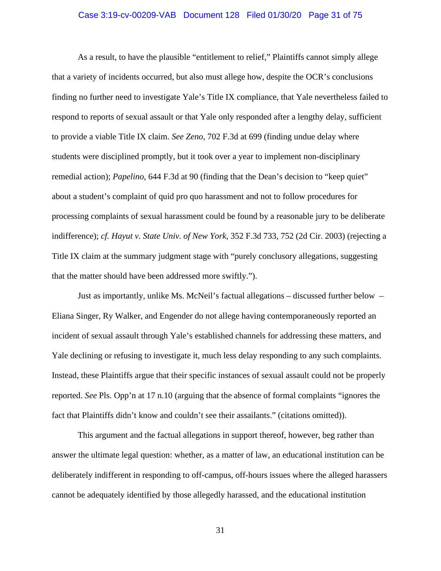## Case 3:19-cv-00209-VAB Document 128 Filed 01/30/20 Page 31 of 75

As a result, to have the plausible "entitlement to relief," Plaintiffs cannot simply allege that a variety of incidents occurred, but also must allege how, despite the OCR's conclusions finding no further need to investigate Yale's Title IX compliance, that Yale nevertheless failed to respond to reports of sexual assault or that Yale only responded after a lengthy delay, sufficient to provide a viable Title IX claim. *See Zeno*, 702 F.3d at 699 (finding undue delay where students were disciplined promptly, but it took over a year to implement non-disciplinary remedial action); *Papelino*, 644 F.3d at 90 (finding that the Dean's decision to "keep quiet" about a student's complaint of quid pro quo harassment and not to follow procedures for processing complaints of sexual harassment could be found by a reasonable jury to be deliberate indifference); *cf. Hayut v. State Univ. of New York*, 352 F.3d 733, 752 (2d Cir. 2003) (rejecting a Title IX claim at the summary judgment stage with "purely conclusory allegations, suggesting that the matter should have been addressed more swiftly.").

Just as importantly, unlike Ms. McNeil's factual allegations – discussed further below – Eliana Singer, Ry Walker, and Engender do not allege having contemporaneously reported an incident of sexual assault through Yale's established channels for addressing these matters, and Yale declining or refusing to investigate it, much less delay responding to any such complaints. Instead, these Plaintiffs argue that their specific instances of sexual assault could not be properly reported. *See* Pls. Opp'n at 17 n.10 (arguing that the absence of formal complaints "ignores the fact that Plaintiffs didn't know and couldn't see their assailants." (citations omitted)).

This argument and the factual allegations in support thereof, however, beg rather than answer the ultimate legal question: whether, as a matter of law, an educational institution can be deliberately indifferent in responding to off-campus, off-hours issues where the alleged harassers cannot be adequately identified by those allegedly harassed, and the educational institution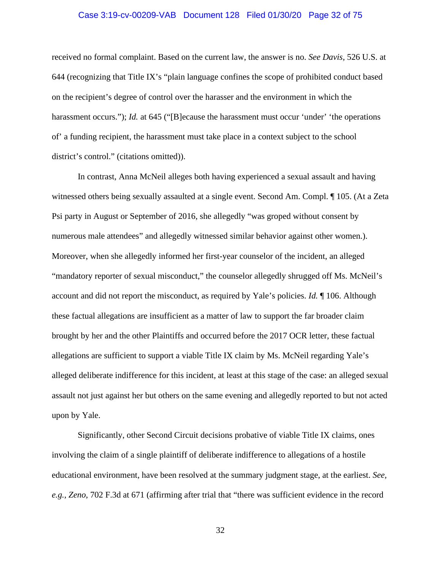## Case 3:19-cv-00209-VAB Document 128 Filed 01/30/20 Page 32 of 75

received no formal complaint. Based on the current law, the answer is no. *See Davis,* 526 U.S. at 644 (recognizing that Title IX's "plain language confines the scope of prohibited conduct based on the recipient's degree of control over the harasser and the environment in which the harassment occurs."); *Id.* at 645 ("[B]ecause the harassment must occur 'under' 'the operations of' a funding recipient, the harassment must take place in a context subject to the school district's control." (citations omitted)).

In contrast, Anna McNeil alleges both having experienced a sexual assault and having witnessed others being sexually assaulted at a single event. Second Am. Compl. ¶ 105. (At a Zeta Psi party in August or September of 2016, she allegedly "was groped without consent by numerous male attendees" and allegedly witnessed similar behavior against other women.). Moreover, when she allegedly informed her first-year counselor of the incident, an alleged "mandatory reporter of sexual misconduct," the counselor allegedly shrugged off Ms. McNeil's account and did not report the misconduct, as required by Yale's policies. *Id.* ¶ 106. Although these factual allegations are insufficient as a matter of law to support the far broader claim brought by her and the other Plaintiffs and occurred before the 2017 OCR letter, these factual allegations are sufficient to support a viable Title IX claim by Ms. McNeil regarding Yale's alleged deliberate indifference for this incident, at least at this stage of the case: an alleged sexual assault not just against her but others on the same evening and allegedly reported to but not acted upon by Yale.

Significantly, other Second Circuit decisions probative of viable Title IX claims, ones involving the claim of a single plaintiff of deliberate indifference to allegations of a hostile educational environment, have been resolved at the summary judgment stage, at the earliest. *See, e.g., Zeno*, 702 F.3d at 671 (affirming after trial that "there was sufficient evidence in the record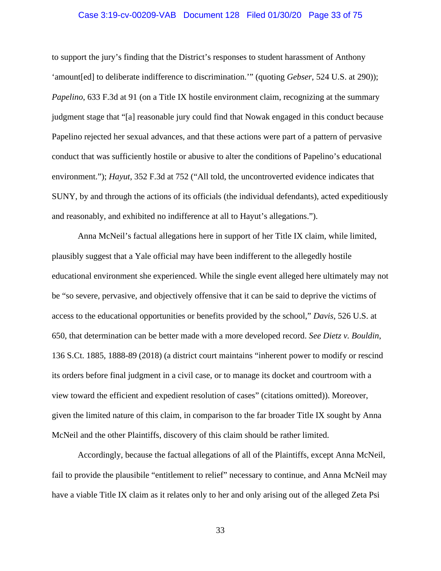## Case 3:19-cv-00209-VAB Document 128 Filed 01/30/20 Page 33 of 75

to support the jury's finding that the District's responses to student harassment of Anthony 'amount[ed] to deliberate indifference to discrimination.'" (quoting *Gebser*, 524 U.S. at 290)); *Papelino*, 633 F.3d at 91 (on a Title IX hostile environment claim, recognizing at the summary judgment stage that "[a] reasonable jury could find that Nowak engaged in this conduct because Papelino rejected her sexual advances, and that these actions were part of a pattern of pervasive conduct that was sufficiently hostile or abusive to alter the conditions of Papelino's educational environment."); *Hayut*, 352 F.3d at 752 ("All told, the uncontroverted evidence indicates that SUNY, by and through the actions of its officials (the individual defendants), acted expeditiously and reasonably, and exhibited no indifference at all to Hayut's allegations.").

Anna McNeil's factual allegations here in support of her Title IX claim, while limited, plausibly suggest that a Yale official may have been indifferent to the allegedly hostile educational environment she experienced. While the single event alleged here ultimately may not be "so severe, pervasive, and objectively offensive that it can be said to deprive the victims of access to the educational opportunities or benefits provided by the school," *Davis*, 526 U.S. at 650, that determination can be better made with a more developed record. *See Dietz v. Bouldin*, 136 S.Ct. 1885, 1888-89 (2018) (a district court maintains "inherent power to modify or rescind its orders before final judgment in a civil case, or to manage its docket and courtroom with a view toward the efficient and expedient resolution of cases" (citations omitted)). Moreover, given the limited nature of this claim, in comparison to the far broader Title IX sought by Anna McNeil and the other Plaintiffs, discovery of this claim should be rather limited.

Accordingly, because the factual allegations of all of the Plaintiffs, except Anna McNeil, fail to provide the plausibile "entitlement to relief" necessary to continue, and Anna McNeil may have a viable Title IX claim as it relates only to her and only arising out of the alleged Zeta Psi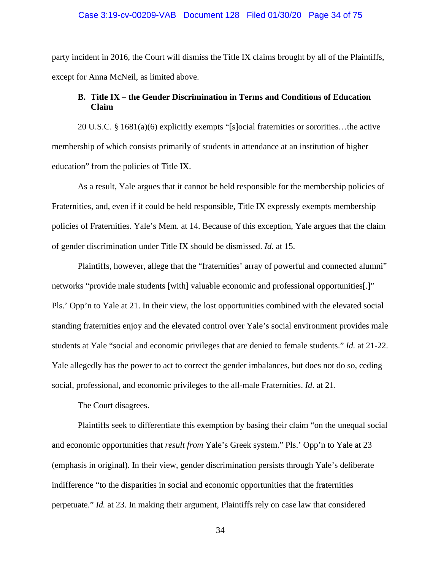## Case 3:19-cv-00209-VAB Document 128 Filed 01/30/20 Page 34 of 75

party incident in 2016, the Court will dismiss the Title IX claims brought by all of the Plaintiffs, except for Anna McNeil, as limited above.

# **B. Title IX – the Gender Discrimination in Terms and Conditions of Education Claim**

20 U.S.C. § 1681(a)(6) explicitly exempts "[s]ocial fraternities or sororities…the active membership of which consists primarily of students in attendance at an institution of higher education" from the policies of Title IX.

As a result, Yale argues that it cannot be held responsible for the membership policies of Fraternities, and, even if it could be held responsible, Title IX expressly exempts membership policies of Fraternities. Yale's Mem. at 14. Because of this exception, Yale argues that the claim of gender discrimination under Title IX should be dismissed. *Id.* at 15.

Plaintiffs, however, allege that the "fraternities' array of powerful and connected alumni" networks "provide male students [with] valuable economic and professional opportunities[.]" Pls.' Opp'n to Yale at 21. In their view, the lost opportunities combined with the elevated social standing fraternities enjoy and the elevated control over Yale's social environment provides male students at Yale "social and economic privileges that are denied to female students." *Id.* at 21-22. Yale allegedly has the power to act to correct the gender imbalances, but does not do so, ceding social, professional, and economic privileges to the all-male Fraternities. *Id.* at 21.

The Court disagrees.

Plaintiffs seek to differentiate this exemption by basing their claim "on the unequal social and economic opportunities that *result from* Yale's Greek system." Pls.' Opp'n to Yale at 23 (emphasis in original). In their view, gender discrimination persists through Yale's deliberate indifference "to the disparities in social and economic opportunities that the fraternities perpetuate." *Id.* at 23. In making their argument, Plaintiffs rely on case law that considered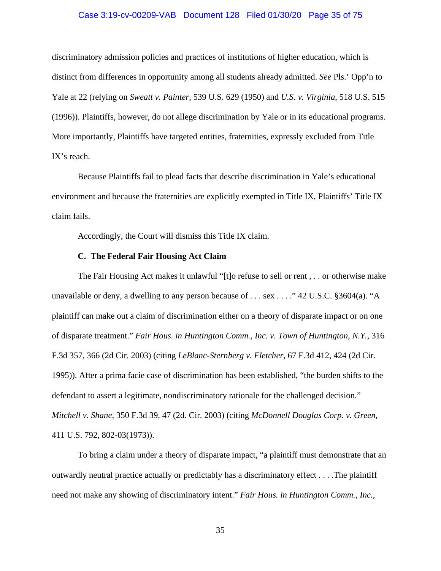## Case 3:19-cv-00209-VAB Document 128 Filed 01/30/20 Page 35 of 75

discriminatory admission policies and practices of institutions of higher education, which is distinct from differences in opportunity among all students already admitted. *See* Pls.' Opp'n to Yale at 22 (relying on *Sweatt v. Painter*, 539 U.S. 629 (1950) and *U.S. v. Virginia*, 518 U.S. 515 (1996)). Plaintiffs, however, do not allege discrimination by Yale or in its educational programs. More importantly, Plaintiffs have targeted entities, fraternities, expressly excluded from Title IX's reach.

Because Plaintiffs fail to plead facts that describe discrimination in Yale's educational environment and because the fraternities are explicitly exempted in Title IX, Plaintiffs' Title IX claim fails.

Accordingly, the Court will dismiss this Title IX claim.

#### **C. The Federal Fair Housing Act Claim**

The Fair Housing Act makes it unlawful "[t]o refuse to sell or rent , . . or otherwise make unavailable or deny, a dwelling to any person because of . . . sex . . . ." 42 U.S.C. §3604(a). "A plaintiff can make out a claim of discrimination either on a theory of disparate impact or on one of disparate treatment." *Fair Hous. in Huntington Comm., Inc. v. Town of Huntington, N.Y.*, 316 F.3d 357, 366 (2d Cir. 2003) (citing *LeBlanc-Sternberg v. Fletcher*, 67 F.3d 412, 424 (2d Cir. 1995)). After a prima facie case of discrimination has been established, "the burden shifts to the defendant to assert a legitimate, nondiscriminatory rationale for the challenged decision." *Mitchell v. Shane*, 350 F.3d 39, 47 (2d. Cir. 2003) (citing *McDonnell Douglas Corp. v. Green*, 411 U.S. 792, 802-03(1973)).

To bring a claim under a theory of disparate impact, "a plaintiff must demonstrate that an outwardly neutral practice actually or predictably has a discriminatory effect . . . .The plaintiff need not make any showing of discriminatory intent." *Fair Hous. in Huntington Comm., Inc.*,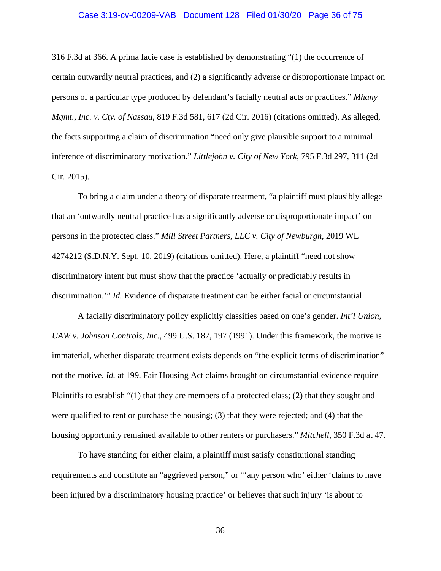## Case 3:19-cv-00209-VAB Document 128 Filed 01/30/20 Page 36 of 75

316 F.3d at 366. A prima facie case is established by demonstrating "(1) the occurrence of certain outwardly neutral practices, and (2) a significantly adverse or disproportionate impact on persons of a particular type produced by defendant's facially neutral acts or practices." *Mhany Mgmt., Inc. v. Cty. of Nassau*, 819 F.3d 581, 617 (2d Cir. 2016) (citations omitted). As alleged, the facts supporting a claim of discrimination "need only give plausible support to a minimal inference of discriminatory motivation." *Littlejohn v. City of New York*, 795 F.3d 297, 311 (2d Cir. 2015).

To bring a claim under a theory of disparate treatment, "a plaintiff must plausibly allege that an 'outwardly neutral practice has a significantly adverse or disproportionate impact' on persons in the protected class." *Mill Street Partners, LLC v. City of Newburgh*, 2019 WL 4274212 (S.D.N.Y. Sept. 10, 2019) (citations omitted). Here, a plaintiff "need not show discriminatory intent but must show that the practice 'actually or predictably results in discrimination.'" *Id.* Evidence of disparate treatment can be either facial or circumstantial.

A facially discriminatory policy explicitly classifies based on one's gender. *Int'l Union, UAW v. Johnson Controls, Inc.*, 499 U.S. 187, 197 (1991). Under this framework, the motive is immaterial, whether disparate treatment exists depends on "the explicit terms of discrimination" not the motive. *Id.* at 199. Fair Housing Act claims brought on circumstantial evidence require Plaintiffs to establish "(1) that they are members of a protected class; (2) that they sought and were qualified to rent or purchase the housing; (3) that they were rejected; and (4) that the housing opportunity remained available to other renters or purchasers." *Mitchell*, 350 F.3d at 47.

To have standing for either claim, a plaintiff must satisfy constitutional standing requirements and constitute an "aggrieved person," or "'any person who' either 'claims to have been injured by a discriminatory housing practice' or believes that such injury 'is about to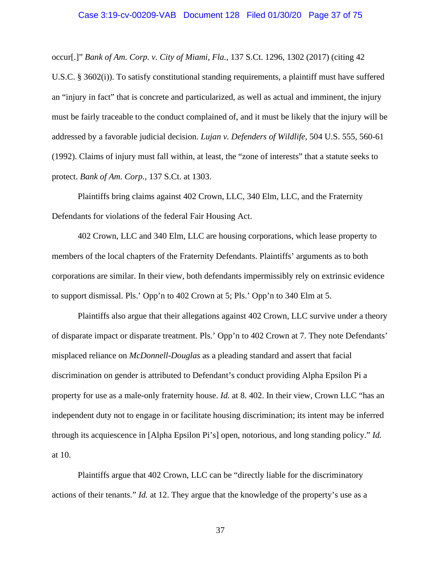### Case 3:19-cv-00209-VAB Document 128 Filed 01/30/20 Page 37 of 75

occur[.]" *Bank of Am. Corp. v. City of Miami, Fla.*, 137 S.Ct. 1296, 1302 (2017) (citing 42 U.S.C. § 3602(i)). To satisfy constitutional standing requirements, a plaintiff must have suffered an "injury in fact" that is concrete and particularized, as well as actual and imminent, the injury must be fairly traceable to the conduct complained of, and it must be likely that the injury will be addressed by a favorable judicial decision. *Lujan v. Defenders of Wildlife*, 504 U.S. 555, 560-61 (1992). Claims of injury must fall within, at least, the "zone of interests" that a statute seeks to protect. *Bank of Am. Corp.*, 137 S.Ct. at 1303.

Plaintiffs bring claims against 402 Crown, LLC, 340 Elm, LLC, and the Fraternity Defendants for violations of the federal Fair Housing Act.

402 Crown, LLC and 340 Elm, LLC are housing corporations, which lease property to members of the local chapters of the Fraternity Defendants. Plaintiffs' arguments as to both corporations are similar. In their view, both defendants impermissibly rely on extrinsic evidence to support dismissal. Pls.' Opp'n to 402 Crown at 5; Pls.' Opp'n to 340 Elm at 5.

Plaintiffs also argue that their allegations against 402 Crown, LLC survive under a theory of disparate impact or disparate treatment. Pls.' Opp'n to 402 Crown at 7. They note Defendants' misplaced reliance on *McDonnell-Douglas* as a pleading standard and assert that facial discrimination on gender is attributed to Defendant's conduct providing Alpha Epsilon Pi a property for use as a male-only fraternity house. *Id.* at 8. 402. In their view, Crown LLC "has an independent duty not to engage in or facilitate housing discrimination; its intent may be inferred through its acquiescence in [Alpha Epsilon Pi's] open, notorious, and long standing policy." *Id.* at 10.

Plaintiffs argue that 402 Crown, LLC can be "directly liable for the discriminatory actions of their tenants." *Id.* at 12. They argue that the knowledge of the property's use as a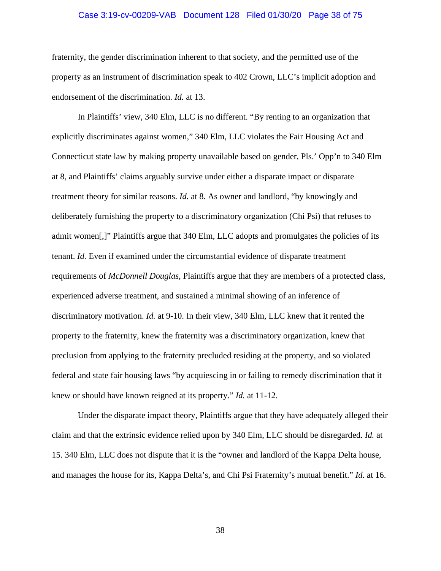### Case 3:19-cv-00209-VAB Document 128 Filed 01/30/20 Page 38 of 75

fraternity, the gender discrimination inherent to that society, and the permitted use of the property as an instrument of discrimination speak to 402 Crown, LLC's implicit adoption and endorsement of the discrimination. *Id.* at 13.

In Plaintiffs' view, 340 Elm, LLC is no different. "By renting to an organization that explicitly discriminates against women," 340 Elm, LLC violates the Fair Housing Act and Connecticut state law by making property unavailable based on gender, Pls.' Opp'n to 340 Elm at 8, and Plaintiffs' claims arguably survive under either a disparate impact or disparate treatment theory for similar reasons. *Id.* at 8. As owner and landlord, "by knowingly and deliberately furnishing the property to a discriminatory organization (Chi Psi) that refuses to admit women[,]" Plaintiffs argue that 340 Elm, LLC adopts and promulgates the policies of its tenant. *Id.* Even if examined under the circumstantial evidence of disparate treatment requirements of *McDonnell Douglas*, Plaintiffs argue that they are members of a protected class, experienced adverse treatment, and sustained a minimal showing of an inference of discriminatory motivation. *Id.* at 9-10. In their view, 340 Elm, LLC knew that it rented the property to the fraternity, knew the fraternity was a discriminatory organization, knew that preclusion from applying to the fraternity precluded residing at the property, and so violated federal and state fair housing laws "by acquiescing in or failing to remedy discrimination that it knew or should have known reigned at its property." *Id.* at 11-12.

Under the disparate impact theory, Plaintiffs argue that they have adequately alleged their claim and that the extrinsic evidence relied upon by 340 Elm, LLC should be disregarded. *Id.* at 15. 340 Elm, LLC does not dispute that it is the "owner and landlord of the Kappa Delta house, and manages the house for its, Kappa Delta's, and Chi Psi Fraternity's mutual benefit." *Id.* at 16.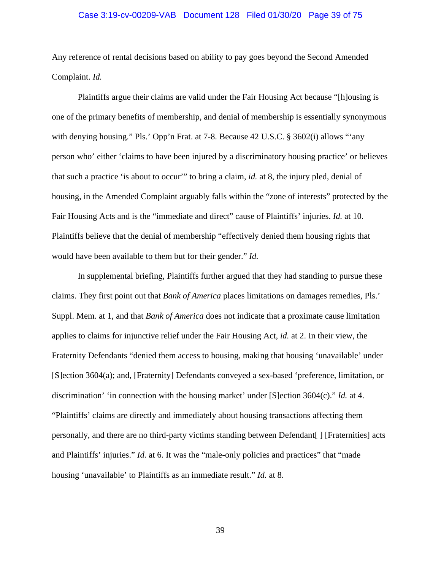### Case 3:19-cv-00209-VAB Document 128 Filed 01/30/20 Page 39 of 75

Any reference of rental decisions based on ability to pay goes beyond the Second Amended Complaint. *Id.*

Plaintiffs argue their claims are valid under the Fair Housing Act because "[h]ousing is one of the primary benefits of membership, and denial of membership is essentially synonymous with denying housing." Pls.' Opp'n Frat. at 7-8. Because 42 U.S.C. § 3602(i) allows "'any person who' either 'claims to have been injured by a discriminatory housing practice' or believes that such a practice 'is about to occur'" to bring a claim, *id.* at 8, the injury pled, denial of housing, in the Amended Complaint arguably falls within the "zone of interests" protected by the Fair Housing Acts and is the "immediate and direct" cause of Plaintiffs' injuries. *Id.* at 10. Plaintiffs believe that the denial of membership "effectively denied them housing rights that would have been available to them but for their gender." *Id.*

In supplemental briefing, Plaintiffs further argued that they had standing to pursue these claims. They first point out that *Bank of America* places limitations on damages remedies, Pls.' Suppl. Mem. at 1, and that *Bank of America* does not indicate that a proximate cause limitation applies to claims for injunctive relief under the Fair Housing Act, *id.* at 2. In their view, the Fraternity Defendants "denied them access to housing, making that housing 'unavailable' under [S]ection 3604(a); and, [Fraternity] Defendants conveyed a sex-based 'preference, limitation, or discrimination' 'in connection with the housing market' under [S]ection 3604(c)." *Id.* at 4. "Plaintiffs' claims are directly and immediately about housing transactions affecting them personally, and there are no third-party victims standing between Defendant[ ] [Fraternities] acts and Plaintiffs' injuries." *Id.* at 6. It was the "male-only policies and practices" that "made housing 'unavailable' to Plaintiffs as an immediate result." *Id.* at 8.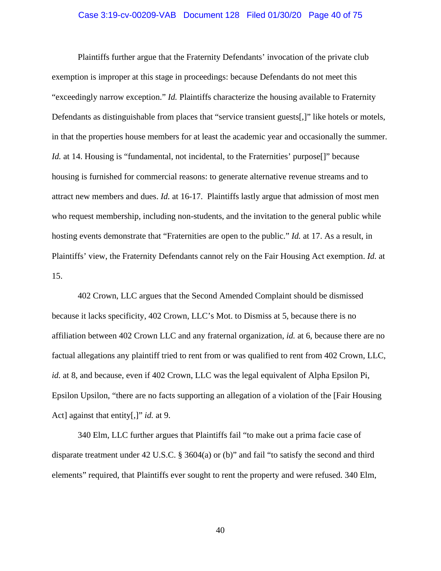### Case 3:19-cv-00209-VAB Document 128 Filed 01/30/20 Page 40 of 75

Plaintiffs further argue that the Fraternity Defendants' invocation of the private club exemption is improper at this stage in proceedings: because Defendants do not meet this "exceedingly narrow exception." *Id.* Plaintiffs characterize the housing available to Fraternity Defendants as distinguishable from places that "service transient guests[,]" like hotels or motels, in that the properties house members for at least the academic year and occasionally the summer. *Id.* at 14. Housing is "fundamental, not incidental, to the Fraternities' purpose<sup>[]"</sup> because housing is furnished for commercial reasons: to generate alternative revenue streams and to attract new members and dues. *Id.* at 16-17. Plaintiffs lastly argue that admission of most men who request membership, including non-students, and the invitation to the general public while hosting events demonstrate that "Fraternities are open to the public." *Id.* at 17. As a result, in Plaintiffs' view, the Fraternity Defendants cannot rely on the Fair Housing Act exemption. *Id.* at 15.

402 Crown, LLC argues that the Second Amended Complaint should be dismissed because it lacks specificity, 402 Crown, LLC's Mot. to Dismiss at 5, because there is no affiliation between 402 Crown LLC and any fraternal organization, *id.* at 6, because there are no factual allegations any plaintiff tried to rent from or was qualified to rent from 402 Crown, LLC, *id.* at 8, and because, even if 402 Crown, LLC was the legal equivalent of Alpha Epsilon Pi, Epsilon Upsilon, "there are no facts supporting an allegation of a violation of the [Fair Housing Act] against that entity[,]" *id.* at 9.

340 Elm, LLC further argues that Plaintiffs fail "to make out a prima facie case of disparate treatment under 42 U.S.C. § 3604(a) or (b)" and fail "to satisfy the second and third elements" required, that Plaintiffs ever sought to rent the property and were refused. 340 Elm,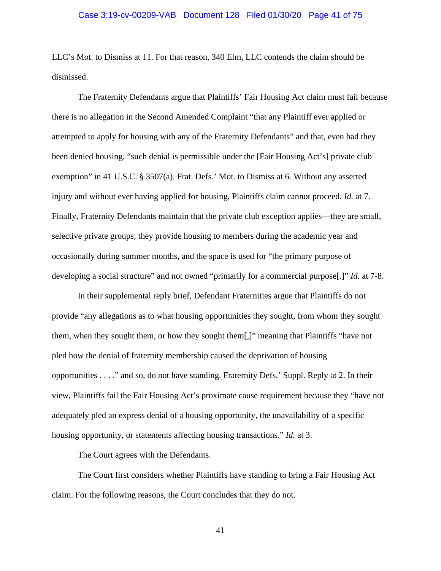### Case 3:19-cv-00209-VAB Document 128 Filed 01/30/20 Page 41 of 75

LLC's Mot. to Dismiss at 11. For that reason, 340 Elm, LLC contends the claim should be dismissed.

The Fraternity Defendants argue that Plaintiffs' Fair Housing Act claim must fail because there is no allegation in the Second Amended Complaint "that any Plaintiff ever applied or attempted to apply for housing with any of the Fraternity Defendants" and that, even had they been denied housing, "such denial is permissible under the [Fair Housing Act's] private club exemption" in 41 U.S.C. § 3507(a). Frat. Defs.' Mot. to Dismiss at 6. Without any asserted injury and without ever having applied for housing, Plaintiffs claim cannot proceed. *Id.* at 7. Finally, Fraternity Defendants maintain that the private club exception applies—they are small, selective private groups, they provide housing to members during the academic year and occasionally during summer months, and the space is used for "the primary purpose of developing a social structure" and not owned "primarily for a commercial purpose[.]" *Id.* at 7-8.

In their supplemental reply brief, Defendant Fraternities argue that Plaintiffs do not provide "any allegations as to what housing opportunities they sought, from whom they sought them, when they sought them, or how they sought them[,]" meaning that Plaintiffs "have not pled how the denial of fraternity membership caused the deprivation of housing opportunities . . . ." and so, do not have standing. Fraternity Defs.' Suppl. Reply at 2. In their view, Plaintiffs fail the Fair Housing Act's proximate cause requirement because they "have not adequately pled an express denial of a housing opportunity, the unavailability of a specific housing opportunity, or statements affecting housing transactions." *Id.* at 3.

The Court agrees with the Defendants.

The Court first considers whether Plaintiffs have standing to bring a Fair Housing Act claim. For the following reasons, the Court concludes that they do not.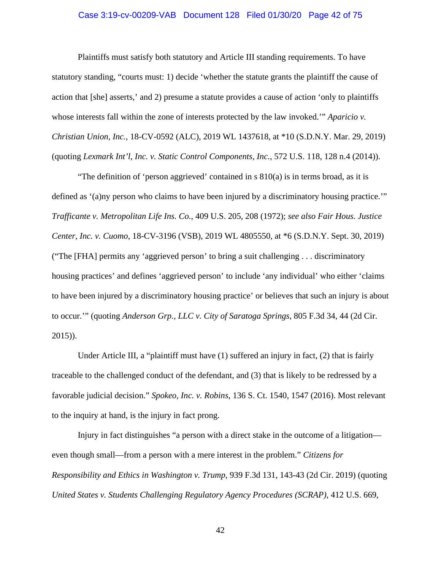### Case 3:19-cv-00209-VAB Document 128 Filed 01/30/20 Page 42 of 75

Plaintiffs must satisfy both statutory and Article III standing requirements. To have statutory standing, "courts must: 1) decide 'whether the statute grants the plaintiff the cause of action that [she] asserts,' and 2) presume a statute provides a cause of action 'only to plaintiffs whose interests fall within the zone of interests protected by the law invoked.'" *Aparicio v. Christian Union, Inc.*, 18-CV-0592 (ALC), 2019 WL 1437618, at \*10 (S.D.N.Y. Mar. 29, 2019) (quoting *Lexmark Int'l, Inc. v. Static Control Components, Inc.*, 572 U.S. 118, 128 n.4 (2014)).

"The definition of 'person aggrieved' contained in  $s \, 810(a)$  is in terms broad, as it is defined as '(a)ny person who claims to have been injured by a discriminatory housing practice.'" *Trafficante v. Metropolitan Life Ins. Co.*, 409 U.S. 205, 208 (1972); *see also Fair Hous. Justice Center, Inc. v. Cuomo*, 18-CV-3196 (VSB), 2019 WL 4805550, at \*6 (S.D.N.Y. Sept. 30, 2019) ("The [FHA] permits any 'aggrieved person' to bring a suit challenging . . . discriminatory housing practices' and defines 'aggrieved person' to include 'any individual' who either 'claims to have been injured by a discriminatory housing practice' or believes that such an injury is about to occur.'" (quoting *Anderson Grp., LLC v. City of Saratoga Springs*, 805 F.3d 34, 44 (2d Cir. 2015)).

Under Article III, a "plaintiff must have  $(1)$  suffered an injury in fact,  $(2)$  that is fairly traceable to the challenged conduct of the defendant, and (3) that is likely to be redressed by a favorable judicial decision." *Spokeo, Inc. v. Robins*, 136 S. Ct. 1540, 1547 (2016). Most relevant to the inquiry at hand, is the injury in fact prong.

Injury in fact distinguishes "a person with a direct stake in the outcome of a litigation even though small—from a person with a mere interest in the problem." *Citizens for Responsibility and Ethics in Washington v. Trump*, 939 F.3d 131, 143-43 (2d Cir. 2019) (quoting *United States v. Students Challenging Regulatory Agency Procedures (SCRAP)*, 412 U.S. 669,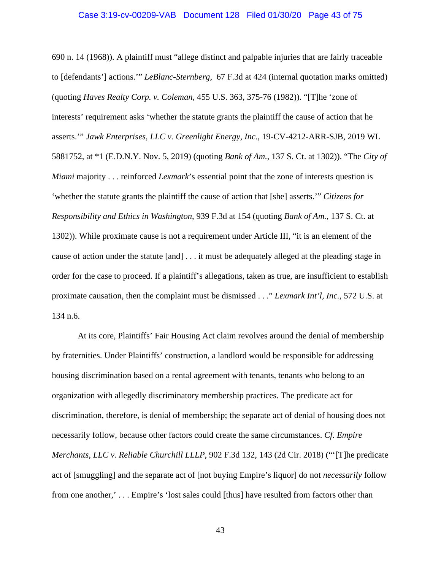### Case 3:19-cv-00209-VAB Document 128 Filed 01/30/20 Page 43 of 75

690 n. 14 (1968)). A plaintiff must "allege distinct and palpable injuries that are fairly traceable to [defendants'] actions.'" *LeBlanc-Sternberg,* 67 F.3d at 424 (internal quotation marks omitted) (quoting *Haves Realty Corp. v. Coleman*, 455 U.S. 363, 375-76 (1982)). "[T]he 'zone of interests' requirement asks 'whether the statute grants the plaintiff the cause of action that he asserts.'" *Jawk Enterprises, LLC v. Greenlight Energy, Inc.*, 19-CV-4212-ARR-SJB, 2019 WL 5881752, at \*1 (E.D.N.Y. Nov. 5, 2019) (quoting *Bank of Am.*, 137 S. Ct. at 1302)). "The *City of Miami* majority . . . reinforced *Lexmark*'s essential point that the zone of interests question is 'whether the statute grants the plaintiff the cause of action that [she] asserts.'" *Citizens for Responsibility and Ethics in Washington*, 939 F.3d at 154 (quoting *Bank of Am.*, 137 S. Ct. at 1302)). While proximate cause is not a requirement under Article III, "it is an element of the cause of action under the statute [and] . . . it must be adequately alleged at the pleading stage in order for the case to proceed. If a plaintiff's allegations, taken as true, are insufficient to establish proximate causation, then the complaint must be dismissed . . ." *Lexmark Int'l, Inc.*, 572 U.S. at 134 n.6.

At its core, Plaintiffs' Fair Housing Act claim revolves around the denial of membership by fraternities. Under Plaintiffs' construction, a landlord would be responsible for addressing housing discrimination based on a rental agreement with tenants, tenants who belong to an organization with allegedly discriminatory membership practices. The predicate act for discrimination, therefore, is denial of membership; the separate act of denial of housing does not necessarily follow, because other factors could create the same circumstances. *Cf. Empire Merchants, LLC v. Reliable Churchill LLLP*, 902 F.3d 132, 143 (2d Cir. 2018) ("'[T]he predicate act of [smuggling] and the separate act of [not buying Empire's liquor] do not *necessarily* follow from one another,' . . . Empire's 'lost sales could [thus] have resulted from factors other than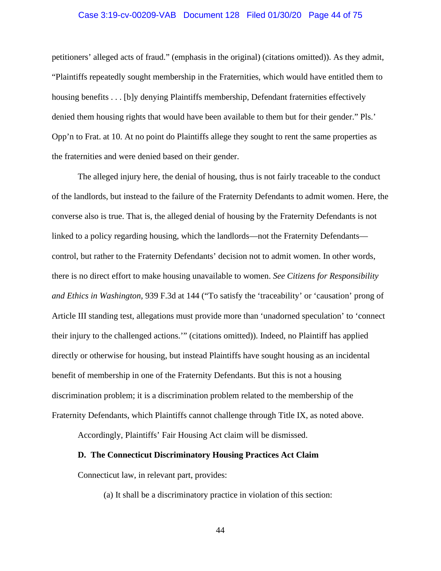### Case 3:19-cv-00209-VAB Document 128 Filed 01/30/20 Page 44 of 75

petitioners' alleged acts of fraud." (emphasis in the original) (citations omitted)). As they admit, "Plaintiffs repeatedly sought membership in the Fraternities, which would have entitled them to housing benefits . . . [b]y denying Plaintiffs membership, Defendant fraternities effectively denied them housing rights that would have been available to them but for their gender." Pls.' Opp'n to Frat. at 10. At no point do Plaintiffs allege they sought to rent the same properties as the fraternities and were denied based on their gender.

The alleged injury here, the denial of housing, thus is not fairly traceable to the conduct of the landlords, but instead to the failure of the Fraternity Defendants to admit women. Here, the converse also is true. That is, the alleged denial of housing by the Fraternity Defendants is not linked to a policy regarding housing, which the landlords—not the Fraternity Defendants control, but rather to the Fraternity Defendants' decision not to admit women. In other words, there is no direct effort to make housing unavailable to women. *See Citizens for Responsibility and Ethics in Washington,* 939 F.3d at 144 ("To satisfy the 'traceability' or 'causation' prong of Article III standing test, allegations must provide more than 'unadorned speculation' to 'connect their injury to the challenged actions.'" (citations omitted)). Indeed, no Plaintiff has applied directly or otherwise for housing, but instead Plaintiffs have sought housing as an incidental benefit of membership in one of the Fraternity Defendants. But this is not a housing discrimination problem; it is a discrimination problem related to the membership of the Fraternity Defendants, which Plaintiffs cannot challenge through Title IX, as noted above.

Accordingly, Plaintiffs' Fair Housing Act claim will be dismissed.

### **D. The Connecticut Discriminatory Housing Practices Act Claim**

Connecticut law, in relevant part, provides:

(a) It shall be a discriminatory practice in violation of this section: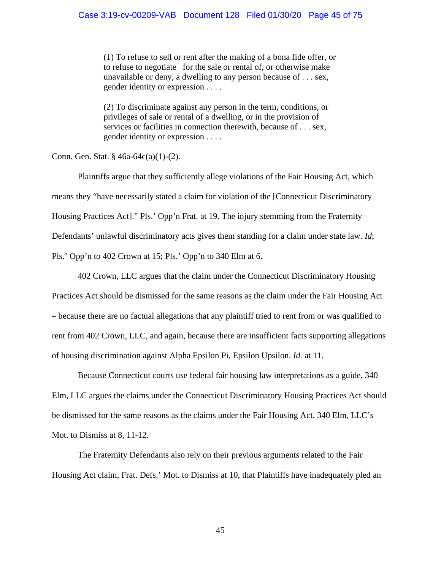(1) To refuse to sell or rent after the making of a bona fide offer, or to refuse to negotiate for the sale or rental of, or otherwise make unavailable or deny, a dwelling to any person because of . . . sex, gender identity or expression . . . .

(2) To discriminate against any person in the term, conditions, or privileges of sale or rental of a dwelling, or in the provision of services or facilities in connection therewith, because of . . . sex, gender identity or expression . . . .

Conn. Gen. Stat. § 46a-64c(a)(1)-(2).

Plaintiffs argue that they sufficiently allege violations of the Fair Housing Act, which means they "have necessarily stated a claim for violation of the [Connecticut Discriminatory Housing Practices Act]." Pls.' Opp'n Frat. at 19. The injury stemming from the Fraternity Defendants' unlawful discriminatory acts gives them standing for a claim under state law. *Id*; Pls.' Opp'n to 402 Crown at 15; Pls.' Opp'n to 340 Elm at 6.

402 Crown, LLC argues that the claim under the Connecticut Discriminatory Housing Practices Act should be dismissed for the same reasons as the claim under the Fair Housing Act – because there are no factual allegations that any plaintiff tried to rent from or was qualified to rent from 402 Crown, LLC, and again, because there are insufficient facts supporting allegations of housing discrimination against Alpha Epsilon Pi, Epsilon Upsilon. *Id.* at 11.

Because Connecticut courts use federal fair housing law interpretations as a guide, 340 Elm, LLC argues the claims under the Connecticut Discriminatory Housing Practices Act should be dismissed for the same reasons as the claims under the Fair Housing Act. 340 Elm, LLC's Mot. to Dismiss at 8, 11-12.

The Fraternity Defendants also rely on their previous arguments related to the Fair Housing Act claim, Frat. Defs.' Mot. to Dismiss at 10, that Plaintiffs have inadequately pled an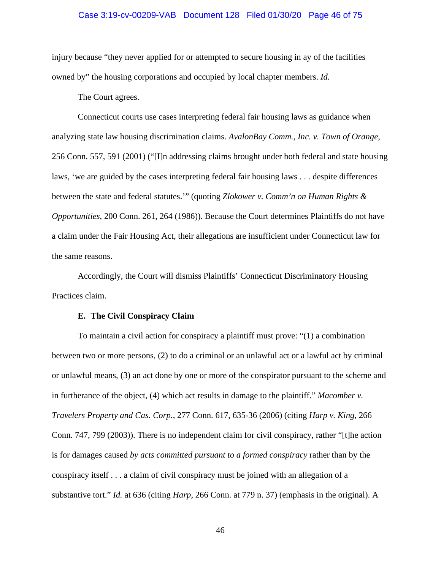### Case 3:19-cv-00209-VAB Document 128 Filed 01/30/20 Page 46 of 75

injury because "they never applied for or attempted to secure housing in ay of the facilities owned by" the housing corporations and occupied by local chapter members. *Id.*

The Court agrees.

Connecticut courts use cases interpreting federal fair housing laws as guidance when analyzing state law housing discrimination claims. *AvalonBay Comm., Inc. v. Town of Orange*, 256 Conn. 557, 591 (2001) ("[I]n addressing claims brought under both federal and state housing laws, 'we are guided by the cases interpreting federal fair housing laws . . . despite differences between the state and federal statutes.'" (quoting *Zlokower v. Comm'n on Human Rights & Opportunities*, 200 Conn. 261, 264 (1986)). Because the Court determines Plaintiffs do not have a claim under the Fair Housing Act, their allegations are insufficient under Connecticut law for the same reasons.

Accordingly, the Court will dismiss Plaintiffs' Connecticut Discriminatory Housing Practices claim.

### **E. The Civil Conspiracy Claim**

To maintain a civil action for conspiracy a plaintiff must prove: "(1) a combination between two or more persons, (2) to do a criminal or an unlawful act or a lawful act by criminal or unlawful means, (3) an act done by one or more of the conspirator pursuant to the scheme and in furtherance of the object, (4) which act results in damage to the plaintiff." *Macomber v. Travelers Property and Cas. Corp.*, 277 Conn. 617, 635-36 (2006) (citing *Harp v. King*, 266 Conn. 747, 799 (2003)). There is no independent claim for civil conspiracy, rather "[t]he action is for damages caused *by acts committed pursuant to a formed conspiracy* rather than by the conspiracy itself . . . a claim of civil conspiracy must be joined with an allegation of a substantive tort." *Id.* at 636 (citing *Harp*, 266 Conn. at 779 n. 37) (emphasis in the original). A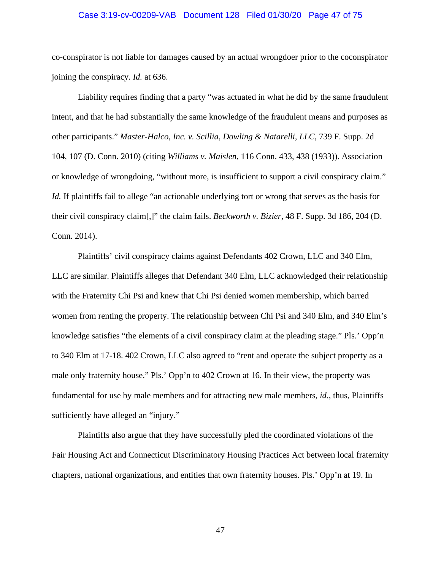### Case 3:19-cv-00209-VAB Document 128 Filed 01/30/20 Page 47 of 75

co-conspirator is not liable for damages caused by an actual wrongdoer prior to the coconspirator joining the conspiracy. *Id.* at 636.

Liability requires finding that a party "was actuated in what he did by the same fraudulent intent, and that he had substantially the same knowledge of the fraudulent means and purposes as other participants." *Master-Halco, Inc. v. Scillia, Dowling & Natarelli, LLC*, 739 F. Supp. 2d 104, 107 (D. Conn. 2010) (citing *Williams v. Maislen*, 116 Conn. 433, 438 (1933)). Association or knowledge of wrongdoing, "without more, is insufficient to support a civil conspiracy claim." *Id.* If plaintiffs fail to allege "an actionable underlying tort or wrong that serves as the basis for their civil conspiracy claim[,]" the claim fails. *Beckworth v. Bizier*, 48 F. Supp. 3d 186, 204 (D. Conn. 2014).

Plaintiffs' civil conspiracy claims against Defendants 402 Crown, LLC and 340 Elm, LLC are similar. Plaintiffs alleges that Defendant 340 Elm, LLC acknowledged their relationship with the Fraternity Chi Psi and knew that Chi Psi denied women membership, which barred women from renting the property. The relationship between Chi Psi and 340 Elm, and 340 Elm's knowledge satisfies "the elements of a civil conspiracy claim at the pleading stage." Pls.' Opp'n to 340 Elm at 17-18. 402 Crown, LLC also agreed to "rent and operate the subject property as a male only fraternity house." Pls.' Opp'n to 402 Crown at 16. In their view, the property was fundamental for use by male members and for attracting new male members, *id.*, thus, Plaintiffs sufficiently have alleged an "injury."

Plaintiffs also argue that they have successfully pled the coordinated violations of the Fair Housing Act and Connecticut Discriminatory Housing Practices Act between local fraternity chapters, national organizations, and entities that own fraternity houses. Pls.' Opp'n at 19. In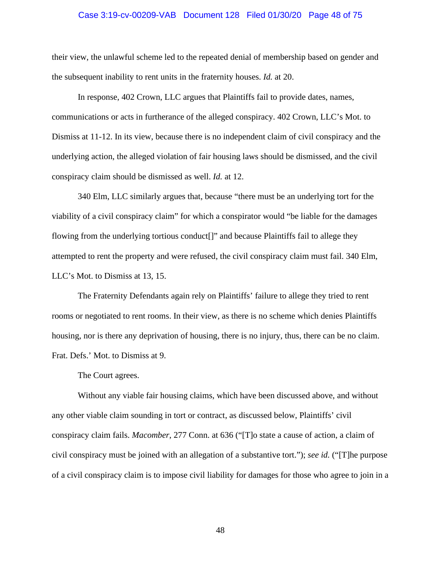#### Case 3:19-cv-00209-VAB Document 128 Filed 01/30/20 Page 48 of 75

their view, the unlawful scheme led to the repeated denial of membership based on gender and the subsequent inability to rent units in the fraternity houses. *Id.* at 20.

In response, 402 Crown, LLC argues that Plaintiffs fail to provide dates, names, communications or acts in furtherance of the alleged conspiracy. 402 Crown, LLC's Mot. to Dismiss at 11-12. In its view, because there is no independent claim of civil conspiracy and the underlying action, the alleged violation of fair housing laws should be dismissed, and the civil conspiracy claim should be dismissed as well. *Id.* at 12.

340 Elm, LLC similarly argues that, because "there must be an underlying tort for the viability of a civil conspiracy claim" for which a conspirator would "be liable for the damages flowing from the underlying tortious conduct[]" and because Plaintiffs fail to allege they attempted to rent the property and were refused, the civil conspiracy claim must fail. 340 Elm, LLC's Mot. to Dismiss at 13, 15.

The Fraternity Defendants again rely on Plaintiffs' failure to allege they tried to rent rooms or negotiated to rent rooms. In their view, as there is no scheme which denies Plaintiffs housing, nor is there any deprivation of housing, there is no injury, thus, there can be no claim. Frat. Defs.' Mot. to Dismiss at 9.

The Court agrees.

Without any viable fair housing claims, which have been discussed above, and without any other viable claim sounding in tort or contract, as discussed below, Plaintiffs' civil conspiracy claim fails. *Macomber*, 277 Conn. at 636 ("[T]o state a cause of action, a claim of civil conspiracy must be joined with an allegation of a substantive tort."); *see id.* ("[T]he purpose of a civil conspiracy claim is to impose civil liability for damages for those who agree to join in a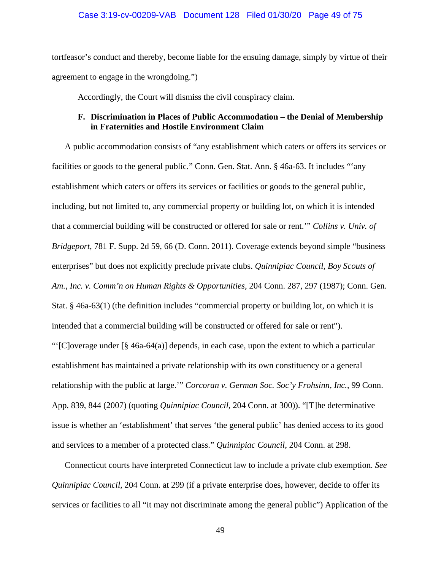tortfeasor's conduct and thereby, become liable for the ensuing damage, simply by virtue of their agreement to engage in the wrongdoing.")

Accordingly, the Court will dismiss the civil conspiracy claim.

## **F. Discrimination in Places of Public Accommodation – the Denial of Membership in Fraternities and Hostile Environment Claim**

A public accommodation consists of "any establishment which caters or offers its services or facilities or goods to the general public." Conn. Gen. Stat. Ann. § 46a-63. It includes "'any establishment which caters or offers its services or facilities or goods to the general public, including, but not limited to, any commercial property or building lot, on which it is intended that a commercial building will be constructed or offered for sale or rent.'" *Collins v. Univ. of Bridgeport*, 781 F. Supp. 2d 59, 66 (D. Conn. 2011). Coverage extends beyond simple "business enterprises" but does not explicitly preclude private clubs. *Quinnipiac Council, Boy Scouts of Am., Inc. v. Comm'n on Human Rights & Opportunities*, 204 Conn. 287, 297 (1987); Conn. Gen. Stat. § 46a-63(1) (the definition includes "commercial property or building lot, on which it is intended that a commercial building will be constructed or offered for sale or rent"). "'[C]overage under  $\lceil \frac{6}{5} \cdot 46a - 64(a) \rceil$  depends, in each case, upon the extent to which a particular

establishment has maintained a private relationship with its own constituency or a general relationship with the public at large.'" *Corcoran v. German Soc. Soc'y Frohsinn, Inc.*, 99 Conn. App. 839, 844 (2007) (quoting *Quinnipiac Council*, 204 Conn. at 300)). "[T]he determinative issue is whether an 'establishment' that serves 'the general public' has denied access to its good and services to a member of a protected class." *Quinnipiac Council*, 204 Conn. at 298.

Connecticut courts have interpreted Connecticut law to include a private club exemption. *See Quinnipiac Council*, 204 Conn. at 299 (if a private enterprise does, however, decide to offer its services or facilities to all "it may not discriminate among the general public") Application of the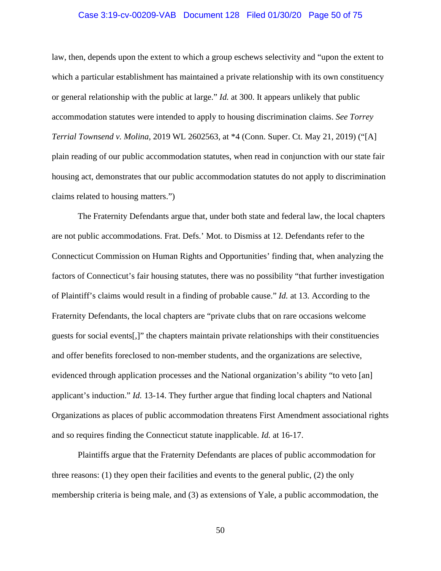### Case 3:19-cv-00209-VAB Document 128 Filed 01/30/20 Page 50 of 75

law, then, depends upon the extent to which a group eschews selectivity and "upon the extent to which a particular establishment has maintained a private relationship with its own constituency or general relationship with the public at large." *Id.* at 300. It appears unlikely that public accommodation statutes were intended to apply to housing discrimination claims. *See Torrey Terrial Townsend v. Molina*, 2019 WL 2602563, at \*4 (Conn. Super. Ct. May 21, 2019) ("[A] plain reading of our public accommodation statutes, when read in conjunction with our state fair housing act, demonstrates that our public accommodation statutes do not apply to discrimination claims related to housing matters.")

The Fraternity Defendants argue that, under both state and federal law, the local chapters are not public accommodations. Frat. Defs.' Mot. to Dismiss at 12. Defendants refer to the Connecticut Commission on Human Rights and Opportunities' finding that, when analyzing the factors of Connecticut's fair housing statutes, there was no possibility "that further investigation of Plaintiff's claims would result in a finding of probable cause." *Id.* at 13. According to the Fraternity Defendants, the local chapters are "private clubs that on rare occasions welcome guests for social events[,]" the chapters maintain private relationships with their constituencies and offer benefits foreclosed to non-member students, and the organizations are selective, evidenced through application processes and the National organization's ability "to veto [an] applicant's induction." *Id.* 13-14. They further argue that finding local chapters and National Organizations as places of public accommodation threatens First Amendment associational rights and so requires finding the Connecticut statute inapplicable. *Id.* at 16-17.

Plaintiffs argue that the Fraternity Defendants are places of public accommodation for three reasons: (1) they open their facilities and events to the general public, (2) the only membership criteria is being male, and (3) as extensions of Yale, a public accommodation, the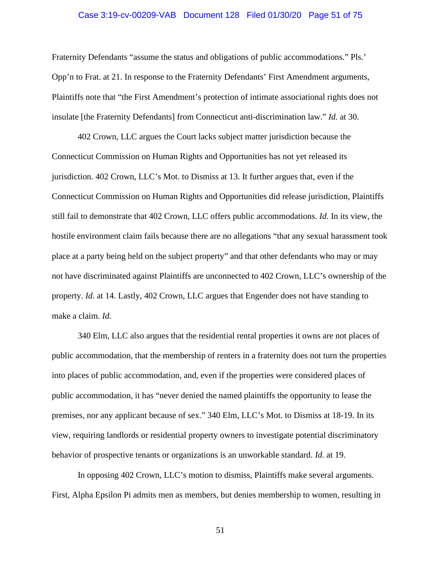### Case 3:19-cv-00209-VAB Document 128 Filed 01/30/20 Page 51 of 75

Fraternity Defendants "assume the status and obligations of public accommodations." Pls.' Opp'n to Frat. at 21. In response to the Fraternity Defendants' First Amendment arguments, Plaintiffs note that "the First Amendment's protection of intimate associational rights does not insulate [the Fraternity Defendants] from Connecticut anti-discrimination law." *Id.* at 30.

402 Crown, LLC argues the Court lacks subject matter jurisdiction because the Connecticut Commission on Human Rights and Opportunities has not yet released its jurisdiction. 402 Crown, LLC's Mot. to Dismiss at 13. It further argues that, even if the Connecticut Commission on Human Rights and Opportunities did release jurisdiction, Plaintiffs still fail to demonstrate that 402 Crown, LLC offers public accommodations. *Id.* In its view, the hostile environment claim fails because there are no allegations "that any sexual harassment took place at a party being held on the subject property" and that other defendants who may or may not have discriminated against Plaintiffs are unconnected to 402 Crown, LLC's ownership of the property. *Id.* at 14. Lastly, 402 Crown, LLC argues that Engender does not have standing to make a claim. *Id.*

340 Elm, LLC also argues that the residential rental properties it owns are not places of public accommodation, that the membership of renters in a fraternity does not turn the properties into places of public accommodation, and, even if the properties were considered places of public accommodation, it has "never denied the named plaintiffs the opportunity to lease the premises, nor any applicant because of sex." 340 Elm, LLC's Mot. to Dismiss at 18-19. In its view, requiring landlords or residential property owners to investigate potential discriminatory behavior of prospective tenants or organizations is an unworkable standard. *Id.* at 19.

In opposing 402 Crown, LLC's motion to dismiss, Plaintiffs make several arguments. First, Alpha Epsilon Pi admits men as members, but denies membership to women, resulting in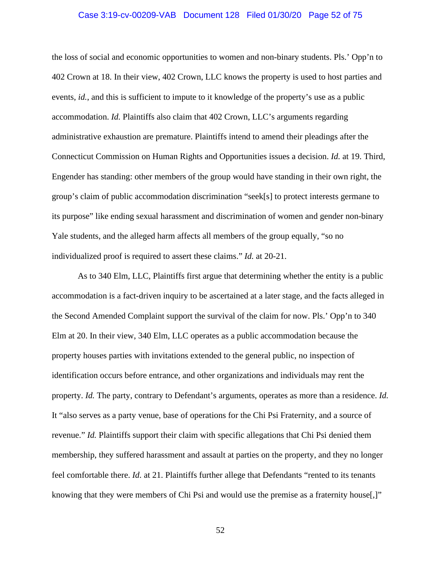### Case 3:19-cv-00209-VAB Document 128 Filed 01/30/20 Page 52 of 75

the loss of social and economic opportunities to women and non-binary students. Pls.' Opp'n to 402 Crown at 18. In their view, 402 Crown, LLC knows the property is used to host parties and events, *id.*, and this is sufficient to impute to it knowledge of the property's use as a public accommodation. *Id.* Plaintiffs also claim that 402 Crown, LLC's arguments regarding administrative exhaustion are premature. Plaintiffs intend to amend their pleadings after the Connecticut Commission on Human Rights and Opportunities issues a decision. *Id.* at 19. Third, Engender has standing: other members of the group would have standing in their own right, the group's claim of public accommodation discrimination "seek[s] to protect interests germane to its purpose" like ending sexual harassment and discrimination of women and gender non-binary Yale students, and the alleged harm affects all members of the group equally, "so no individualized proof is required to assert these claims." *Id.* at 20-21.

As to 340 Elm, LLC, Plaintiffs first argue that determining whether the entity is a public accommodation is a fact-driven inquiry to be ascertained at a later stage, and the facts alleged in the Second Amended Complaint support the survival of the claim for now. Pls.' Opp'n to 340 Elm at 20. In their view, 340 Elm, LLC operates as a public accommodation because the property houses parties with invitations extended to the general public, no inspection of identification occurs before entrance, and other organizations and individuals may rent the property. *Id.* The party, contrary to Defendant's arguments, operates as more than a residence. *Id.* It "also serves as a party venue, base of operations for the Chi Psi Fraternity, and a source of revenue." *Id.* Plaintiffs support their claim with specific allegations that Chi Psi denied them membership, they suffered harassment and assault at parties on the property, and they no longer feel comfortable there. *Id.* at 21. Plaintiffs further allege that Defendants "rented to its tenants knowing that they were members of Chi Psi and would use the premise as a fraternity house.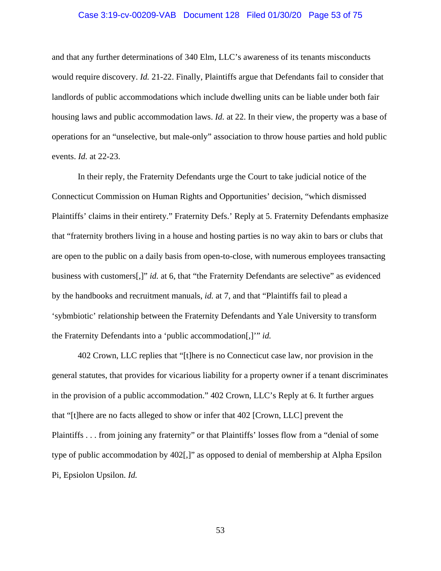### Case 3:19-cv-00209-VAB Document 128 Filed 01/30/20 Page 53 of 75

and that any further determinations of 340 Elm, LLC's awareness of its tenants misconducts would require discovery. *Id.* 21-22. Finally, Plaintiffs argue that Defendants fail to consider that landlords of public accommodations which include dwelling units can be liable under both fair housing laws and public accommodation laws. *Id.* at 22. In their view, the property was a base of operations for an "unselective, but male-only" association to throw house parties and hold public events. *Id.* at 22-23.

In their reply, the Fraternity Defendants urge the Court to take judicial notice of the Connecticut Commission on Human Rights and Opportunities' decision, "which dismissed Plaintiffs' claims in their entirety." Fraternity Defs.' Reply at 5. Fraternity Defendants emphasize that "fraternity brothers living in a house and hosting parties is no way akin to bars or clubs that are open to the public on a daily basis from open-to-close, with numerous employees transacting business with customers[,]" *id.* at 6, that "the Fraternity Defendants are selective" as evidenced by the handbooks and recruitment manuals, *id.* at 7, and that "Plaintiffs fail to plead a 'sybmbiotic' relationship between the Fraternity Defendants and Yale University to transform the Fraternity Defendants into a 'public accommodation[,]'" *id.*

402 Crown, LLC replies that "[t]here is no Connecticut case law, nor provision in the general statutes, that provides for vicarious liability for a property owner if a tenant discriminates in the provision of a public accommodation." 402 Crown, LLC's Reply at 6. It further argues that "[t]here are no facts alleged to show or infer that 402 [Crown, LLC] prevent the Plaintiffs . . . from joining any fraternity" or that Plaintiffs' losses flow from a "denial of some type of public accommodation by 402[,]" as opposed to denial of membership at Alpha Epsilon Pi, Epsiolon Upsilon. *Id.*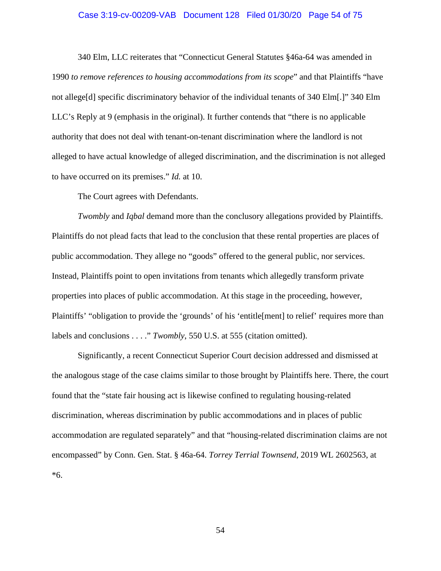### Case 3:19-cv-00209-VAB Document 128 Filed 01/30/20 Page 54 of 75

340 Elm, LLC reiterates that "Connecticut General Statutes §46a-64 was amended in 1990 *to remove references to housing accommodations from its scope*" and that Plaintiffs "have not allege[d] specific discriminatory behavior of the individual tenants of 340 Elm[.]" 340 Elm LLC's Reply at 9 (emphasis in the original). It further contends that "there is no applicable authority that does not deal with tenant-on-tenant discrimination where the landlord is not alleged to have actual knowledge of alleged discrimination, and the discrimination is not alleged to have occurred on its premises." *Id.* at 10.

The Court agrees with Defendants.

*Twombly* and *Iqbal* demand more than the conclusory allegations provided by Plaintiffs. Plaintiffs do not plead facts that lead to the conclusion that these rental properties are places of public accommodation. They allege no "goods" offered to the general public, nor services. Instead, Plaintiffs point to open invitations from tenants which allegedly transform private properties into places of public accommodation. At this stage in the proceeding, however, Plaintiffs' "obligation to provide the 'grounds' of his 'entitle[ment] to relief' requires more than labels and conclusions . . . ." *Twombly*, 550 U.S. at 555 (citation omitted).

Significantly, a recent Connecticut Superior Court decision addressed and dismissed at the analogous stage of the case claims similar to those brought by Plaintiffs here. There, the court found that the "state fair housing act is likewise confined to regulating housing-related discrimination, whereas discrimination by public accommodations and in places of public accommodation are regulated separately" and that "housing-related discrimination claims are not encompassed" by Conn. Gen. Stat. § 46a-64. *Torrey Terrial Townsend*, 2019 WL 2602563, at \*6.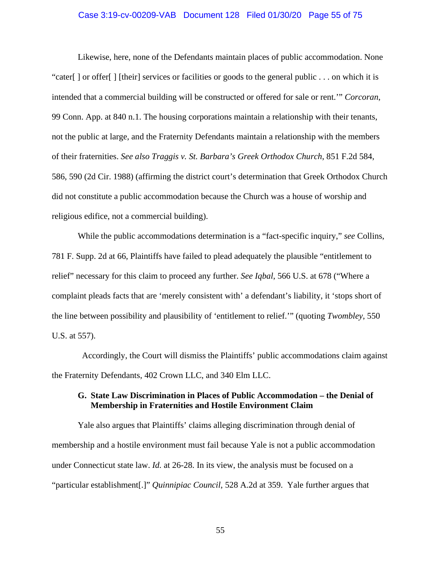### Case 3:19-cv-00209-VAB Document 128 Filed 01/30/20 Page 55 of 75

Likewise, here, none of the Defendants maintain places of public accommodation. None "cater[ ] or offer[ ] [their] services or facilities or goods to the general public . . . on which it is intended that a commercial building will be constructed or offered for sale or rent.'" *Corcoran*, 99 Conn. App. at 840 n.1. The housing corporations maintain a relationship with their tenants, not the public at large, and the Fraternity Defendants maintain a relationship with the members of their fraternities. *See also Traggis v. St. Barbara's Greek Orthodox Church*, 851 F.2d 584, 586, 590 (2d Cir. 1988) (affirming the district court's determination that Greek Orthodox Church did not constitute a public accommodation because the Church was a house of worship and religious edifice, not a commercial building).

While the public accommodations determination is a "fact-specific inquiry," *see* Collins, 781 F. Supp. 2d at 66, Plaintiffs have failed to plead adequately the plausible "entitlement to relief" necessary for this claim to proceed any further. *See Iqbal*, 566 U.S. at 678 ("Where a complaint pleads facts that are 'merely consistent with' a defendant's liability, it 'stops short of the line between possibility and plausibility of 'entitlement to relief.'" (quoting *Twombley*, 550 U.S. at 557).

Accordingly, the Court will dismiss the Plaintiffs' public accommodations claim against the Fraternity Defendants, 402 Crown LLC, and 340 Elm LLC.

## **G. State Law Discrimination in Places of Public Accommodation – the Denial of Membership in Fraternities and Hostile Environment Claim**

Yale also argues that Plaintiffs' claims alleging discrimination through denial of membership and a hostile environment must fail because Yale is not a public accommodation under Connecticut state law. *Id.* at 26-28. In its view, the analysis must be focused on a "particular establishment[.]" *Quinnipiac Council*, 528 A.2d at 359. Yale further argues that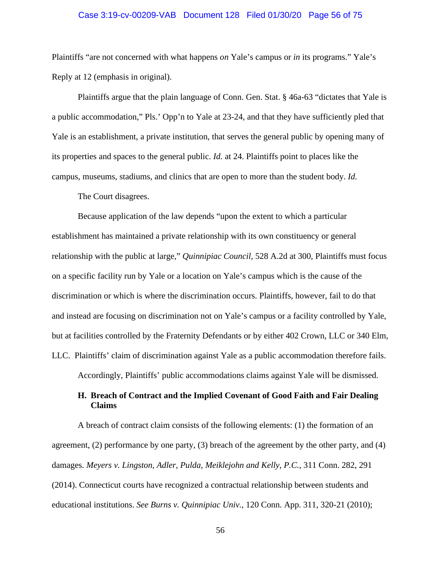### Case 3:19-cv-00209-VAB Document 128 Filed 01/30/20 Page 56 of 75

Plaintiffs "are not concerned with what happens *on* Yale's campus or *in* its programs." Yale's Reply at 12 (emphasis in original).

Plaintiffs argue that the plain language of Conn. Gen. Stat. § 46a-63 "dictates that Yale is a public accommodation," Pls.' Opp'n to Yale at 23-24, and that they have sufficiently pled that Yale is an establishment, a private institution, that serves the general public by opening many of its properties and spaces to the general public. *Id.* at 24. Plaintiffs point to places like the campus, museums, stadiums, and clinics that are open to more than the student body. *Id.*

The Court disagrees.

Because application of the law depends "upon the extent to which a particular establishment has maintained a private relationship with its own constituency or general relationship with the public at large," *Quinnipiac Council*, 528 A.2d at 300, Plaintiffs must focus on a specific facility run by Yale or a location on Yale's campus which is the cause of the discrimination or which is where the discrimination occurs. Plaintiffs, however, fail to do that and instead are focusing on discrimination not on Yale's campus or a facility controlled by Yale, but at facilities controlled by the Fraternity Defendants or by either 402 Crown, LLC or 340 Elm, LLC. Plaintiffs' claim of discrimination against Yale as a public accommodation therefore fails.

Accordingly, Plaintiffs' public accommodations claims against Yale will be dismissed.

# **H. Breach of Contract and the Implied Covenant of Good Faith and Fair Dealing Claims**

A breach of contract claim consists of the following elements: (1) the formation of an agreement, (2) performance by one party, (3) breach of the agreement by the other party, and (4) damages. *Meyers v. Lingston, Adler, Pulda, Meiklejohn and Kelly, P.C.*, 311 Conn. 282, 291 (2014). Connecticut courts have recognized a contractual relationship between students and educational institutions. *See Burns v. Quinnipiac Univ.*, 120 Conn. App. 311, 320-21 (2010);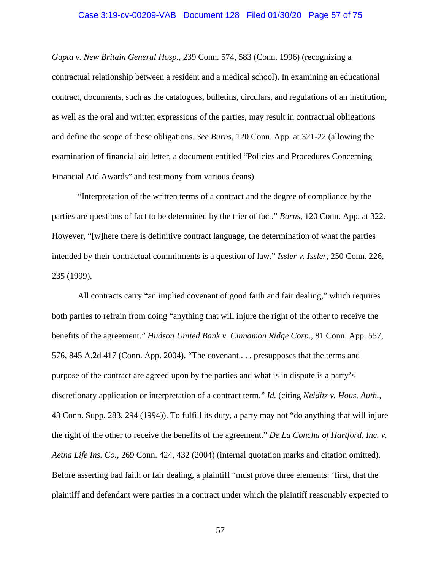### Case 3:19-cv-00209-VAB Document 128 Filed 01/30/20 Page 57 of 75

*Gupta v. New Britain General Hosp.*, 239 Conn. 574, 583 (Conn. 1996) (recognizing a contractual relationship between a resident and a medical school). In examining an educational contract, documents, such as the catalogues, bulletins, circulars, and regulations of an institution, as well as the oral and written expressions of the parties, may result in contractual obligations and define the scope of these obligations. *See Burns*, 120 Conn. App. at 321-22 (allowing the examination of financial aid letter, a document entitled "Policies and Procedures Concerning Financial Aid Awards" and testimony from various deans).

"Interpretation of the written terms of a contract and the degree of compliance by the parties are questions of fact to be determined by the trier of fact." *Burns*, 120 Conn. App. at 322. However, "[w]here there is definitive contract language, the determination of what the parties intended by their contractual commitments is a question of law." *Issler v. Issler*, 250 Conn. 226, 235 (1999).

All contracts carry "an implied covenant of good faith and fair dealing," which requires both parties to refrain from doing "anything that will injure the right of the other to receive the benefits of the agreement." *Hudson United Bank v. Cinnamon Ridge Corp*., 81 Conn. App. 557, 576, 845 A.2d 417 (Conn. App. 2004). "The covenant . . . presupposes that the terms and purpose of the contract are agreed upon by the parties and what is in dispute is a party's discretionary application or interpretation of a contract term." *Id.* (citing *Neiditz v. Hous. Auth.*, 43 Conn. Supp. 283, 294 (1994)). To fulfill its duty, a party may not "do anything that will injure the right of the other to receive the benefits of the agreement." *De La Concha of Hartford, Inc. v. Aetna Life Ins. Co.*, 269 Conn. 424, 432 (2004) (internal quotation marks and citation omitted). Before asserting bad faith or fair dealing, a plaintiff "must prove three elements: 'first, that the plaintiff and defendant were parties in a contract under which the plaintiff reasonably expected to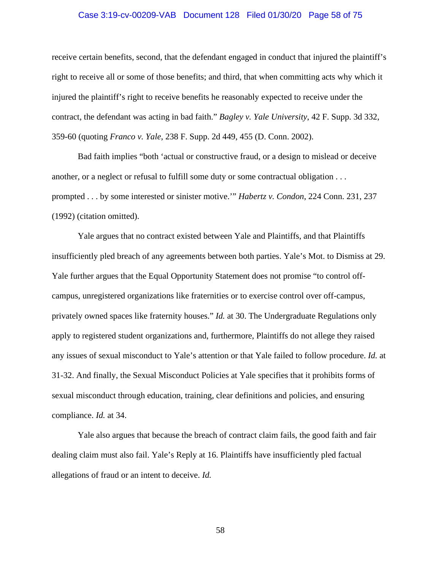### Case 3:19-cv-00209-VAB Document 128 Filed 01/30/20 Page 58 of 75

receive certain benefits, second, that the defendant engaged in conduct that injured the plaintiff's right to receive all or some of those benefits; and third, that when committing acts why which it injured the plaintiff's right to receive benefits he reasonably expected to receive under the contract, the defendant was acting in bad faith." *Bagley v. Yale University*, 42 F. Supp. 3d 332, 359-60 (quoting *Franco v. Yale*, 238 F. Supp. 2d 449, 455 (D. Conn. 2002).

Bad faith implies "both 'actual or constructive fraud, or a design to mislead or deceive another, or a neglect or refusal to fulfill some duty or some contractual obligation . . . prompted . . . by some interested or sinister motive.'" *Habertz v. Condon*, 224 Conn. 231, 237 (1992) (citation omitted).

Yale argues that no contract existed between Yale and Plaintiffs, and that Plaintiffs insufficiently pled breach of any agreements between both parties. Yale's Mot. to Dismiss at 29. Yale further argues that the Equal Opportunity Statement does not promise "to control offcampus, unregistered organizations like fraternities or to exercise control over off-campus, privately owned spaces like fraternity houses." *Id.* at 30. The Undergraduate Regulations only apply to registered student organizations and, furthermore, Plaintiffs do not allege they raised any issues of sexual misconduct to Yale's attention or that Yale failed to follow procedure. *Id.* at 31-32. And finally, the Sexual Misconduct Policies at Yale specifies that it prohibits forms of sexual misconduct through education, training, clear definitions and policies, and ensuring compliance. *Id.* at 34.

Yale also argues that because the breach of contract claim fails, the good faith and fair dealing claim must also fail. Yale's Reply at 16. Plaintiffs have insufficiently pled factual allegations of fraud or an intent to deceive. *Id.*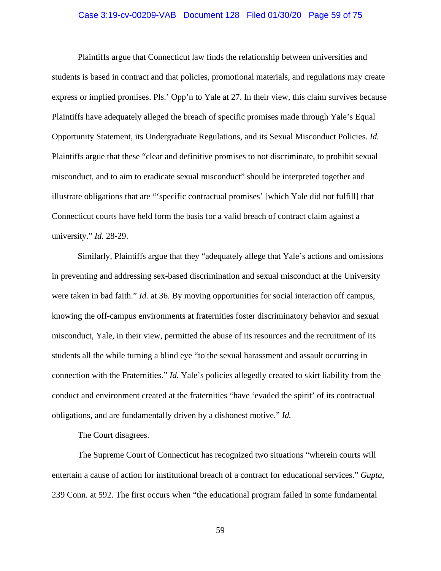### Case 3:19-cv-00209-VAB Document 128 Filed 01/30/20 Page 59 of 75

Plaintiffs argue that Connecticut law finds the relationship between universities and students is based in contract and that policies, promotional materials, and regulations may create express or implied promises. Pls.' Opp'n to Yale at 27. In their view, this claim survives because Plaintiffs have adequately alleged the breach of specific promises made through Yale's Equal Opportunity Statement, its Undergraduate Regulations, and its Sexual Misconduct Policies. *Id.* Plaintiffs argue that these "clear and definitive promises to not discriminate, to prohibit sexual misconduct, and to aim to eradicate sexual misconduct" should be interpreted together and illustrate obligations that are "'specific contractual promises' [which Yale did not fulfill] that Connecticut courts have held form the basis for a valid breach of contract claim against a university." *Id.* 28-29.

Similarly, Plaintiffs argue that they "adequately allege that Yale's actions and omissions in preventing and addressing sex-based discrimination and sexual misconduct at the University were taken in bad faith." *Id.* at 36. By moving opportunities for social interaction off campus, knowing the off-campus environments at fraternities foster discriminatory behavior and sexual misconduct, Yale, in their view, permitted the abuse of its resources and the recruitment of its students all the while turning a blind eye "to the sexual harassment and assault occurring in connection with the Fraternities." *Id.* Yale's policies allegedly created to skirt liability from the conduct and environment created at the fraternities "have 'evaded the spirit' of its contractual obligations, and are fundamentally driven by a dishonest motive." *Id.*

The Court disagrees.

The Supreme Court of Connecticut has recognized two situations "wherein courts will entertain a cause of action for institutional breach of a contract for educational services." *Gupta*, 239 Conn. at 592. The first occurs when "the educational program failed in some fundamental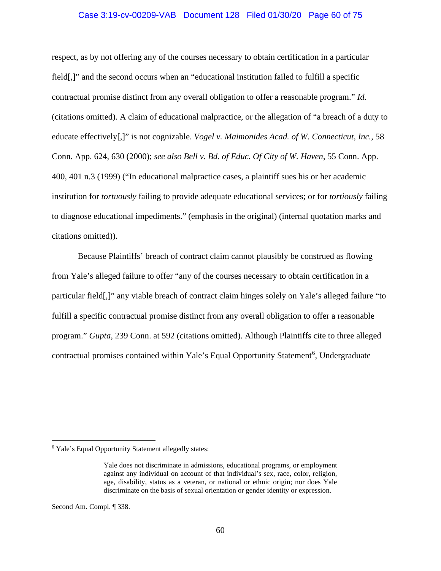### Case 3:19-cv-00209-VAB Document 128 Filed 01/30/20 Page 60 of 75

respect, as by not offering any of the courses necessary to obtain certification in a particular field[,]" and the second occurs when an "educational institution failed to fulfill a specific contractual promise distinct from any overall obligation to offer a reasonable program." *Id.* (citations omitted). A claim of educational malpractice, or the allegation of "a breach of a duty to educate effectively[,]" is not cognizable. *Vogel v. Maimonides Acad. of W. Connecticut, Inc.*, 58 Conn. App. 624, 630 (2000); *see also Bell v. Bd. of Educ. Of City of W. Haven*, 55 Conn. App. 400, 401 n.3 (1999) ("In educational malpractice cases, a plaintiff sues his or her academic institution for *tortuously* failing to provide adequate educational services; or for *tortiously* failing to diagnose educational impediments." (emphasis in the original) (internal quotation marks and citations omitted)).

Because Plaintiffs' breach of contract claim cannot plausibly be construed as flowing from Yale's alleged failure to offer "any of the courses necessary to obtain certification in a particular field[,]" any viable breach of contract claim hinges solely on Yale's alleged failure "to fulfill a specific contractual promise distinct from any overall obligation to offer a reasonable program." *Gupta*, 239 Conn. at 592 (citations omitted). Although Plaintiffs cite to three alleged contractual promises contained within Yale's Equal Opportunity Statement<sup>[6](#page-59-0)</sup>, Undergraduate

Second Am. Compl. ¶ 338.

<span id="page-59-0"></span><sup>6</sup> Yale's Equal Opportunity Statement allegedly states:

Yale does not discriminate in admissions, educational programs, or employment against any individual on account of that individual's sex, race, color, religion, age, disability, status as a veteran, or national or ethnic origin; nor does Yale discriminate on the basis of sexual orientation or gender identity or expression.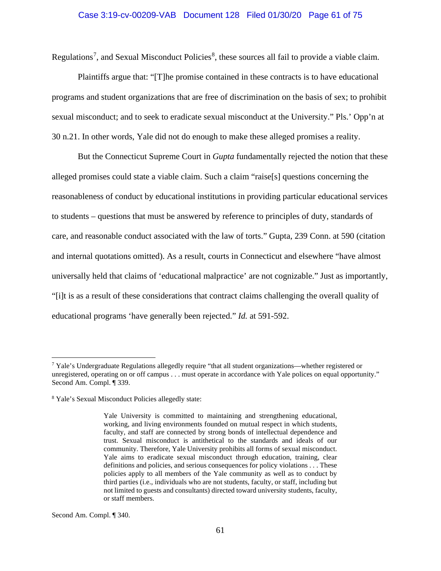### Case 3:19-cv-00209-VAB Document 128 Filed 01/30/20 Page 61 of 75

Regulations<sup>[7](#page-60-0)</sup>, and Sexual Misconduct Policies<sup>[8](#page-60-1)</sup>, these sources all fail to provide a viable claim.

Plaintiffs argue that: "[T]he promise contained in these contracts is to have educational programs and student organizations that are free of discrimination on the basis of sex; to prohibit sexual misconduct; and to seek to eradicate sexual misconduct at the University." Pls.' Opp'n at 30 n.21. In other words, Yale did not do enough to make these alleged promises a reality.

But the Connecticut Supreme Court in *Gupta* fundamentally rejected the notion that these alleged promises could state a viable claim. Such a claim "raise[s] questions concerning the reasonableness of conduct by educational institutions in providing particular educational services to students – questions that must be answered by reference to principles of duty, standards of care, and reasonable conduct associated with the law of torts." Gupta, 239 Conn. at 590 (citation and internal quotations omitted). As a result, courts in Connecticut and elsewhere "have almost universally held that claims of 'educational malpractice' are not cognizable." Just as importantly, "[i]t is as a result of these considerations that contract claims challenging the overall quality of educational programs 'have generally been rejected." *Id.* at 591-592.

Second Am. Compl. ¶ 340.

<span id="page-60-0"></span> $7$  Yale's Undergraduate Regulations allegedly require "that all student organizations—whether registered or unregistered, operating on or off campus . . . must operate in accordance with Yale polices on equal opportunity." Second Am. Compl. ¶ 339.

<span id="page-60-1"></span><sup>8</sup> Yale's Sexual Misconduct Policies allegedly state:

Yale University is committed to maintaining and strengthening educational, working, and living environments founded on mutual respect in which students, faculty, and staff are connected by strong bonds of intellectual dependence and trust. Sexual misconduct is antithetical to the standards and ideals of our community. Therefore, Yale University prohibits all forms of sexual misconduct. Yale aims to eradicate sexual misconduct through education, training, clear definitions and policies, and serious consequences for policy violations . . . These policies apply to all members of the Yale community as well as to conduct by third parties (i.e., individuals who are not students, faculty, or staff, including but not limited to guests and consultants) directed toward university students, faculty, or staff members.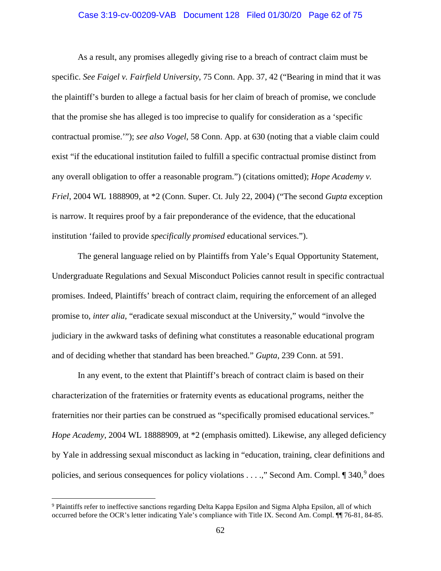### Case 3:19-cv-00209-VAB Document 128 Filed 01/30/20 Page 62 of 75

As a result, any promises allegedly giving rise to a breach of contract claim must be specific. *See Faigel v. Fairfield University*, 75 Conn. App. 37, 42 ("Bearing in mind that it was the plaintiff's burden to allege a factual basis for her claim of breach of promise, we conclude that the promise she has alleged is too imprecise to qualify for consideration as a 'specific contractual promise.'"); *see also Vogel*, 58 Conn. App. at 630 (noting that a viable claim could exist "if the educational institution failed to fulfill a specific contractual promise distinct from any overall obligation to offer a reasonable program.") (citations omitted); *Hope Academy v. Friel*, 2004 WL 1888909, at \*2 (Conn. Super. Ct. July 22, 2004) ("The second *Gupta* exception is narrow. It requires proof by a fair preponderance of the evidence, that the educational institution 'failed to provide *specifically promised* educational services.").

The general language relied on by Plaintiffs from Yale's Equal Opportunity Statement, Undergraduate Regulations and Sexual Misconduct Policies cannot result in specific contractual promises. Indeed, Plaintiffs' breach of contract claim, requiring the enforcement of an alleged promise to, *inter alia*, "eradicate sexual misconduct at the University," would "involve the judiciary in the awkward tasks of defining what constitutes a reasonable educational program and of deciding whether that standard has been breached." *Gupta*, 239 Conn. at 591.

In any event, to the extent that Plaintiff's breach of contract claim is based on their characterization of the fraternities or fraternity events as educational programs, neither the fraternities nor their parties can be construed as "specifically promised educational services." *Hope Academy*, 2004 WL 18888909, at \*2 (emphasis omitted). Likewise, any alleged deficiency by Yale in addressing sexual misconduct as lacking in "education, training, clear definitions and policies, and serious consequences for policy violations  $\dots$ ," Second Am. Compl.  $\P$  340,  $9$  does

<span id="page-61-0"></span><sup>&</sup>lt;sup>9</sup> Plaintiffs refer to ineffective sanctions regarding Delta Kappa Epsilon and Sigma Alpha Epsilon, all of which occurred before the OCR's letter indicating Yale's compliance with Title IX. Second Am. Compl. ¶¶ 76-81, 84-85.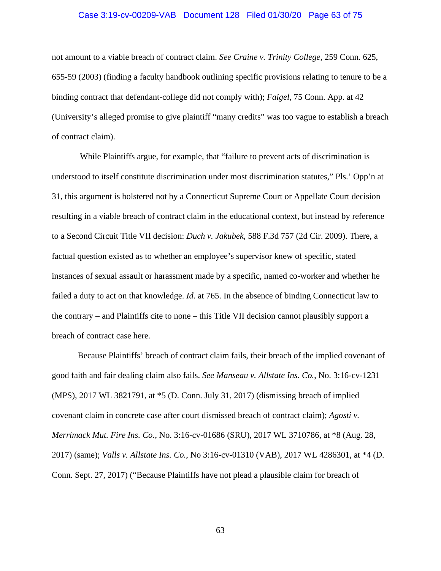### Case 3:19-cv-00209-VAB Document 128 Filed 01/30/20 Page 63 of 75

not amount to a viable breach of contract claim. *See Craine v. Trinity College*, 259 Conn. 625, 655-59 (2003) (finding a faculty handbook outlining specific provisions relating to tenure to be a binding contract that defendant-college did not comply with); *Faigel*, 75 Conn. App. at 42 (University's alleged promise to give plaintiff "many credits" was too vague to establish a breach of contract claim).

While Plaintiffs argue, for example, that "failure to prevent acts of discrimination is understood to itself constitute discrimination under most discrimination statutes," Pls.' Opp'n at 31, this argument is bolstered not by a Connecticut Supreme Court or Appellate Court decision resulting in a viable breach of contract claim in the educational context, but instead by reference to a Second Circuit Title VII decision: *Duch v. Jakubek*, 588 F.3d 757 (2d Cir. 2009). There, a factual question existed as to whether an employee's supervisor knew of specific, stated instances of sexual assault or harassment made by a specific, named co-worker and whether he failed a duty to act on that knowledge. *Id.* at 765. In the absence of binding Connecticut law to the contrary – and Plaintiffs cite to none – this Title VII decision cannot plausibly support a breach of contract case here.

Because Plaintiffs' breach of contract claim fails, their breach of the implied covenant of good faith and fair dealing claim also fails. *See Manseau v. Allstate Ins. Co.*, No. 3:16-cv-1231 (MPS), 2017 WL 3821791, at \*5 (D. Conn. July 31, 2017) (dismissing breach of implied covenant claim in concrete case after court dismissed breach of contract claim); *Agosti v. Merrimack Mut. Fire Ins. Co.*, No. 3:16-cv-01686 (SRU), 2017 WL 3710786, at \*8 (Aug. 28, 2017) (same); *Valls v. Allstate Ins. Co.*, No 3:16-cv-01310 (VAB), 2017 WL 4286301, at \*4 (D. Conn. Sept. 27, 2017) ("Because Plaintiffs have not plead a plausible claim for breach of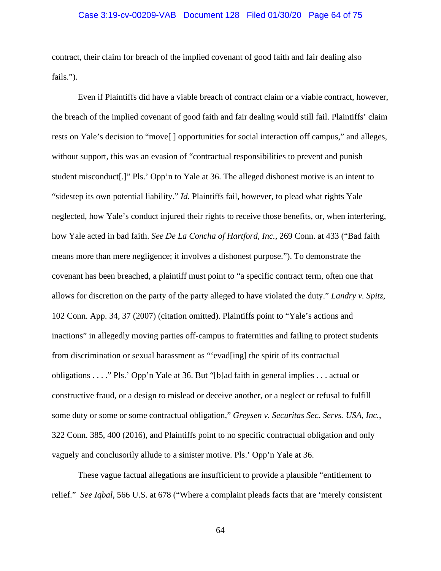### Case 3:19-cv-00209-VAB Document 128 Filed 01/30/20 Page 64 of 75

contract, their claim for breach of the implied covenant of good faith and fair dealing also fails.").

Even if Plaintiffs did have a viable breach of contract claim or a viable contract, however, the breach of the implied covenant of good faith and fair dealing would still fail. Plaintiffs' claim rests on Yale's decision to "move[ ] opportunities for social interaction off campus," and alleges, without support, this was an evasion of "contractual responsibilities to prevent and punish student misconduct[.]" Pls.' Opp'n to Yale at 36. The alleged dishonest motive is an intent to "sidestep its own potential liability." *Id.* Plaintiffs fail, however, to plead what rights Yale neglected, how Yale's conduct injured their rights to receive those benefits, or, when interfering, how Yale acted in bad faith. *See De La Concha of Hartford, Inc.*, 269 Conn. at 433 ("Bad faith means more than mere negligence; it involves a dishonest purpose."). To demonstrate the covenant has been breached, a plaintiff must point to "a specific contract term, often one that allows for discretion on the party of the party alleged to have violated the duty." *Landry v. Spitz*, 102 Conn. App. 34, 37 (2007) (citation omitted). Plaintiffs point to "Yale's actions and inactions" in allegedly moving parties off-campus to fraternities and failing to protect students from discrimination or sexual harassment as "'evad[ing] the spirit of its contractual obligations . . . ." Pls.' Opp'n Yale at 36. But "[b]ad faith in general implies . . . actual or constructive fraud, or a design to mislead or deceive another, or a neglect or refusal to fulfill some duty or some or some contractual obligation," *Greysen v. Securitas Sec. Servs. USA, Inc.*, 322 Conn. 385, 400 (2016), and Plaintiffs point to no specific contractual obligation and only vaguely and conclusorily allude to a sinister motive. Pls.' Opp'n Yale at 36.

These vague factual allegations are insufficient to provide a plausible "entitlement to relief." *See Iqbal*, 566 U.S. at 678 ("Where a complaint pleads facts that are 'merely consistent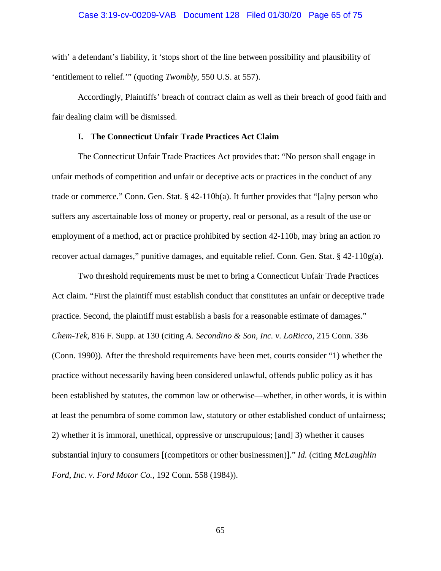### Case 3:19-cv-00209-VAB Document 128 Filed 01/30/20 Page 65 of 75

with' a defendant's liability, it 'stops short of the line between possibility and plausibility of 'entitlement to relief.'" (quoting *Twombly*, 550 U.S. at 557).

Accordingly, Plaintiffs' breach of contract claim as well as their breach of good faith and fair dealing claim will be dismissed.

### **I. The Connecticut Unfair Trade Practices Act Claim**

The Connecticut Unfair Trade Practices Act provides that: "No person shall engage in unfair methods of competition and unfair or deceptive acts or practices in the conduct of any trade or commerce." Conn. Gen. Stat. § 42-110b(a). It further provides that "[a]ny person who suffers any ascertainable loss of money or property, real or personal, as a result of the use or employment of a method, act or practice prohibited by section 42-110b, may bring an action ro recover actual damages," punitive damages, and equitable relief. Conn. Gen. Stat.  $\S$  42-110g(a).

Two threshold requirements must be met to bring a Connecticut Unfair Trade Practices Act claim. "First the plaintiff must establish conduct that constitutes an unfair or deceptive trade practice. Second, the plaintiff must establish a basis for a reasonable estimate of damages." *Chem-Tek*, 816 F. Supp. at 130 (citing *A. Secondino & Son, Inc. v. LoRicco*, 215 Conn. 336 (Conn. 1990)). After the threshold requirements have been met, courts consider "1) whether the practice without necessarily having been considered unlawful, offends public policy as it has been established by statutes, the common law or otherwise—whether, in other words, it is within at least the penumbra of some common law, statutory or other established conduct of unfairness; 2) whether it is immoral, unethical, oppressive or unscrupulous; [and] 3) whether it causes substantial injury to consumers [(competitors or other businessmen)]." *Id.* (citing *McLaughlin Ford, Inc. v. Ford Motor Co.*, 192 Conn. 558 (1984)).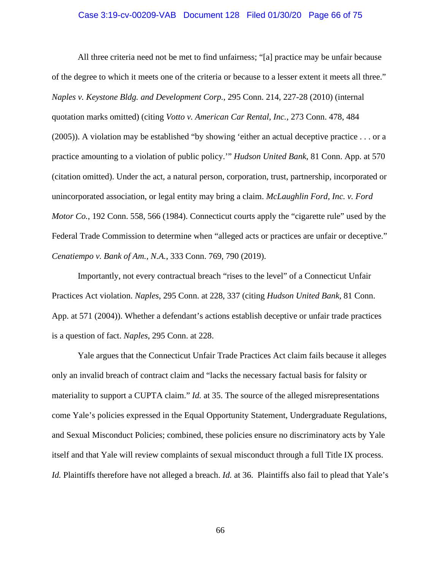### Case 3:19-cv-00209-VAB Document 128 Filed 01/30/20 Page 66 of 75

All three criteria need not be met to find unfairness; "[a] practice may be unfair because of the degree to which it meets one of the criteria or because to a lesser extent it meets all three." *Naples v. Keystone Bldg. and Development Corp.*, 295 Conn. 214, 227-28 (2010) (internal quotation marks omitted) (citing *Votto v. American Car Rental, Inc.*, 273 Conn. 478, 484 (2005)). A violation may be established "by showing 'either an actual deceptive practice . . . or a practice amounting to a violation of public policy.'" *Hudson United Bank*, 81 Conn. App. at 570 (citation omitted). Under the act, a natural person, corporation, trust, partnership, incorporated or unincorporated association, or legal entity may bring a claim. *McLaughlin Ford, Inc. v. Ford Motor Co.*, 192 Conn. 558, 566 (1984). Connecticut courts apply the "cigarette rule" used by the Federal Trade Commission to determine when "alleged acts or practices are unfair or deceptive." *Cenatiempo v. Bank of Am., N.A.*, 333 Conn. 769, 790 (2019).

Importantly, not every contractual breach "rises to the level" of a Connecticut Unfair Practices Act violation. *Naples*, 295 Conn. at 228, 337 (citing *Hudson United Bank*, 81 Conn. App. at 571 (2004)). Whether a defendant's actions establish deceptive or unfair trade practices is a question of fact. *Naples*, 295 Conn. at 228.

Yale argues that the Connecticut Unfair Trade Practices Act claim fails because it alleges only an invalid breach of contract claim and "lacks the necessary factual basis for falsity or materiality to support a CUPTA claim." *Id.* at 35. The source of the alleged misrepresentations come Yale's policies expressed in the Equal Opportunity Statement, Undergraduate Regulations, and Sexual Misconduct Policies; combined, these policies ensure no discriminatory acts by Yale itself and that Yale will review complaints of sexual misconduct through a full Title IX process. *Id.* Plaintiffs therefore have not alleged a breach. *Id.* at 36. Plaintiffs also fail to plead that Yale's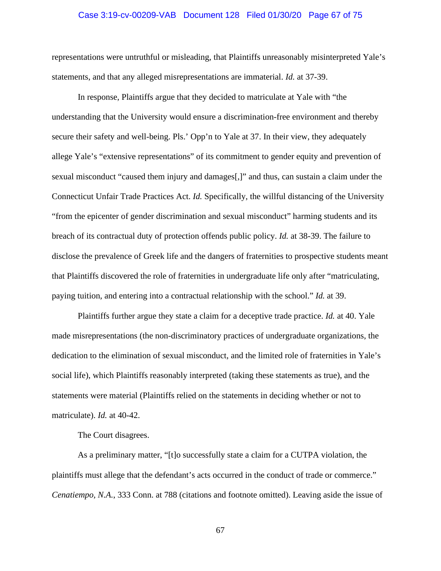### Case 3:19-cv-00209-VAB Document 128 Filed 01/30/20 Page 67 of 75

representations were untruthful or misleading, that Plaintiffs unreasonably misinterpreted Yale's statements, and that any alleged misrepresentations are immaterial. *Id.* at 37-39.

In response, Plaintiffs argue that they decided to matriculate at Yale with "the understanding that the University would ensure a discrimination-free environment and thereby secure their safety and well-being. Pls.' Opp'n to Yale at 37. In their view, they adequately allege Yale's "extensive representations" of its commitment to gender equity and prevention of sexual misconduct "caused them injury and damages[,]" and thus, can sustain a claim under the Connecticut Unfair Trade Practices Act. *Id.* Specifically, the willful distancing of the University "from the epicenter of gender discrimination and sexual misconduct" harming students and its breach of its contractual duty of protection offends public policy. *Id.* at 38-39. The failure to disclose the prevalence of Greek life and the dangers of fraternities to prospective students meant that Plaintiffs discovered the role of fraternities in undergraduate life only after "matriculating, paying tuition, and entering into a contractual relationship with the school." *Id.* at 39.

Plaintiffs further argue they state a claim for a deceptive trade practice. *Id.* at 40. Yale made misrepresentations (the non-discriminatory practices of undergraduate organizations, the dedication to the elimination of sexual misconduct, and the limited role of fraternities in Yale's social life), which Plaintiffs reasonably interpreted (taking these statements as true), and the statements were material (Plaintiffs relied on the statements in deciding whether or not to matriculate). *Id.* at 40-42.

The Court disagrees.

As a preliminary matter, "[t]o successfully state a claim for a CUTPA violation, the plaintiffs must allege that the defendant's acts occurred in the conduct of trade or commerce." *Cenatiempo, N.A.*, 333 Conn. at 788 (citations and footnote omitted). Leaving aside the issue of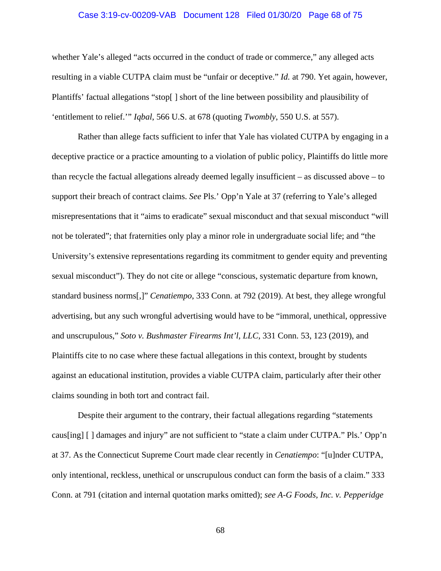### Case 3:19-cv-00209-VAB Document 128 Filed 01/30/20 Page 68 of 75

whether Yale's alleged "acts occurred in the conduct of trade or commerce," any alleged acts resulting in a viable CUTPA claim must be "unfair or deceptive." *Id.* at 790. Yet again, however, Plantiffs' factual allegations "stop[ ] short of the line between possibility and plausibility of 'entitlement to relief.'" *Iqbal*, 566 U.S. at 678 (quoting *Twombly*, 550 U.S. at 557).

Rather than allege facts sufficient to infer that Yale has violated CUTPA by engaging in a deceptive practice or a practice amounting to a violation of public policy, Plaintiffs do little more than recycle the factual allegations already deemed legally insufficient – as discussed above – to support their breach of contract claims. *See* Pls.' Opp'n Yale at 37 (referring to Yale's alleged misrepresentations that it "aims to eradicate" sexual misconduct and that sexual misconduct "will not be tolerated"; that fraternities only play a minor role in undergraduate social life; and "the University's extensive representations regarding its commitment to gender equity and preventing sexual misconduct"). They do not cite or allege "conscious, systematic departure from known, standard business norms[,]" *Cenatiempo*, 333 Conn. at 792 (2019). At best, they allege wrongful advertising, but any such wrongful advertising would have to be "immoral, unethical, oppressive and unscrupulous," *Soto v. Bushmaster Firearms Int'l, LLC*, 331 Conn. 53, 123 (2019), and Plaintiffs cite to no case where these factual allegations in this context, brought by students against an educational institution, provides a viable CUTPA claim, particularly after their other claims sounding in both tort and contract fail.

Despite their argument to the contrary, their factual allegations regarding "statements caus[ing] [ ] damages and injury" are not sufficient to "state a claim under CUTPA." Pls.' Opp'n at 37. As the Connecticut Supreme Court made clear recently in *Cenatiempo*: "[u]nder CUTPA, only intentional, reckless, unethical or unscrupulous conduct can form the basis of a claim." 333 Conn. at 791 (citation and internal quotation marks omitted); *see A-G Foods, Inc. v. Pepperidge*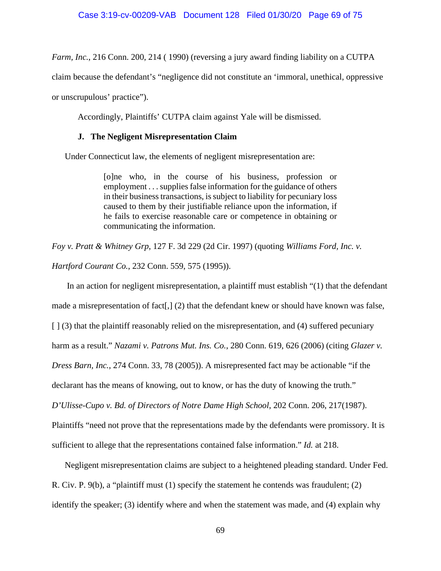*Farm, Inc.*, 216 Conn. 200, 214 (1990) (reversing a jury award finding liability on a CUTPA

claim because the defendant's "negligence did not constitute an 'immoral, unethical, oppressive

or unscrupulous' practice").

Accordingly, Plaintiffs' CUTPA claim against Yale will be dismissed.

## **J. The Negligent Misrepresentation Claim**

Under Connecticut law, the elements of negligent misrepresentation are:

[o]ne who, in the course of his business, profession or employment . . . supplies false information for the guidance of others in their business transactions, is subject to liability for pecuniary loss caused to them by their justifiable reliance upon the information, if he fails to exercise reasonable care or competence in obtaining or communicating the information.

*Foy v. Pratt & Whitney Grp*, 127 F. 3d 229 (2d Cir. 1997) (quoting *Williams Ford, Inc. v.* 

*Hartford Courant Co.*, 232 Conn. 559, 575 (1995)).

In an action for negligent misrepresentation, a plaintiff must establish "(1) that the defendant made a misrepresentation of fact,  $(2)$  that the defendant knew or should have known was false,  $\lceil \cdot (3) \rceil$  that the plaintiff reasonably relied on the misrepresentation, and (4) suffered pecuniary harm as a result." *Nazami v. Patrons Mut. Ins. Co.*, 280 Conn. 619, 626 (2006) (citing *Glazer v. Dress Barn, Inc.*, 274 Conn. 33, 78 (2005)). A misrepresented fact may be actionable "if the declarant has the means of knowing, out to know, or has the duty of knowing the truth." *D'Ulisse-Cupo v. Bd. of Directors of Notre Dame High School*, 202 Conn. 206, 217(1987). Plaintiffs "need not prove that the representations made by the defendants were promissory. It is sufficient to allege that the representations contained false information." *Id.* at 218.

Negligent misrepresentation claims are subject to a heightened pleading standard. Under Fed. R. Civ. P. 9(b), a "plaintiff must (1) specify the statement he contends was fraudulent; (2) identify the speaker; (3) identify where and when the statement was made, and (4) explain why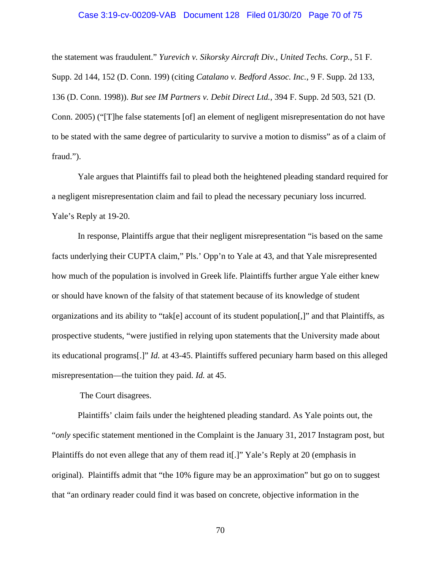### Case 3:19-cv-00209-VAB Document 128 Filed 01/30/20 Page 70 of 75

the statement was fraudulent." *Yurevich v. Sikorsky Aircraft Div., United Techs. Corp.*, 51 F. Supp. 2d 144, 152 (D. Conn. 199) (citing *Catalano v. Bedford Assoc. Inc.*, 9 F. Supp. 2d 133, 136 (D. Conn. 1998)). *But see IM Partners v. Debit Direct Ltd.*, 394 F. Supp. 2d 503, 521 (D. Conn. 2005) ("[T]he false statements [of] an element of negligent misrepresentation do not have to be stated with the same degree of particularity to survive a motion to dismiss" as of a claim of fraud.").

Yale argues that Plaintiffs fail to plead both the heightened pleading standard required for a negligent misrepresentation claim and fail to plead the necessary pecuniary loss incurred. Yale's Reply at 19-20.

In response, Plaintiffs argue that their negligent misrepresentation "is based on the same facts underlying their CUPTA claim," Pls.' Opp'n to Yale at 43, and that Yale misrepresented how much of the population is involved in Greek life. Plaintiffs further argue Yale either knew or should have known of the falsity of that statement because of its knowledge of student organizations and its ability to "tak[e] account of its student population[,]" and that Plaintiffs, as prospective students, "were justified in relying upon statements that the University made about its educational programs[.]" *Id.* at 43-45. Plaintiffs suffered pecuniary harm based on this alleged misrepresentation—the tuition they paid. *Id.* at 45.

The Court disagrees.

Plaintiffs' claim fails under the heightened pleading standard. As Yale points out, the "*only* specific statement mentioned in the Complaint is the January 31, 2017 Instagram post, but Plaintiffs do not even allege that any of them read it[.]" Yale's Reply at 20 (emphasis in original). Plaintiffs admit that "the 10% figure may be an approximation" but go on to suggest that "an ordinary reader could find it was based on concrete, objective information in the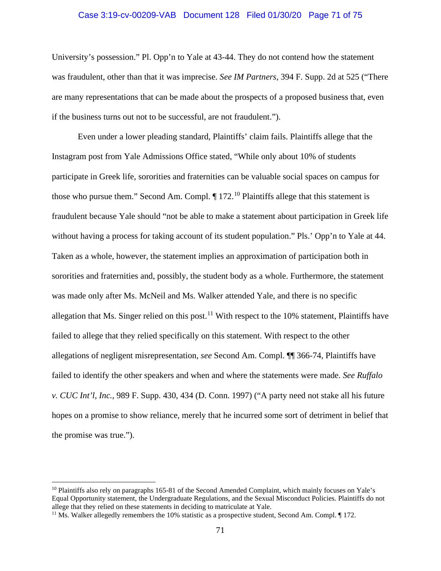### Case 3:19-cv-00209-VAB Document 128 Filed 01/30/20 Page 71 of 75

University's possession." Pl. Opp'n to Yale at 43-44. They do not contend how the statement was fraudulent, other than that it was imprecise. *See IM Partners*, 394 F. Supp. 2d at 525 ("There are many representations that can be made about the prospects of a proposed business that, even if the business turns out not to be successful, are not fraudulent.").

Even under a lower pleading standard, Plaintiffs' claim fails. Plaintiffs allege that the Instagram post from Yale Admissions Office stated, "While only about 10% of students participate in Greek life, sororities and fraternities can be valuable social spaces on campus for those who pursue them." Second Am. Compl.  $\P$  172.<sup>[10](#page-70-0)</sup> Plaintiffs allege that this statement is fraudulent because Yale should "not be able to make a statement about participation in Greek life without having a process for taking account of its student population." Pls.' Opp'n to Yale at 44. Taken as a whole, however, the statement implies an approximation of participation both in sororities and fraternities and, possibly, the student body as a whole. Furthermore, the statement was made only after Ms. McNeil and Ms. Walker attended Yale, and there is no specific allegation that Ms. Singer relied on this post.<sup>[11](#page-70-1)</sup> With respect to the 10% statement, Plaintiffs have failed to allege that they relied specifically on this statement. With respect to the other allegations of negligent misrepresentation, *see* Second Am. Compl. ¶¶ 366-74, Plaintiffs have failed to identify the other speakers and when and where the statements were made. *See Ruffalo v. CUC Int'l, Inc.*, 989 F. Supp. 430, 434 (D. Conn. 1997) ("A party need not stake all his future hopes on a promise to show reliance, merely that he incurred some sort of detriment in belief that the promise was true.").

<span id="page-70-0"></span><sup>&</sup>lt;sup>10</sup> Plaintiffs also rely on paragraphs 165-81 of the Second Amended Complaint, which mainly focuses on Yale's Equal Opportunity statement, the Undergraduate Regulations, and the Sexual Misconduct Policies. Plaintiffs do not allege that they relied on these statements in deciding to matriculate at Yale.<br><sup>11</sup> Ms. Walker allegedly remembers the 10% statistic as a prospective student, Second Am. Compl. ¶ 172.

<span id="page-70-1"></span>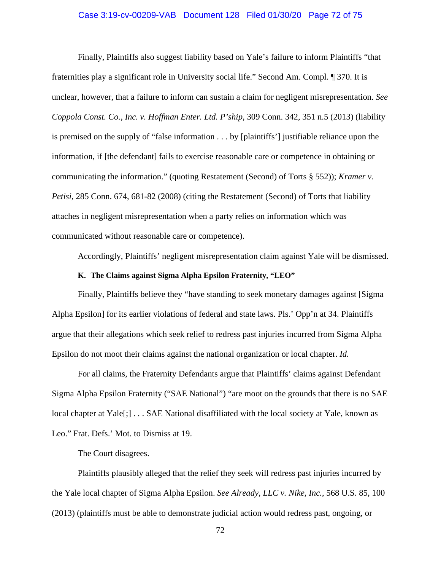### Case 3:19-cv-00209-VAB Document 128 Filed 01/30/20 Page 72 of 75

Finally, Plaintiffs also suggest liability based on Yale's failure to inform Plaintiffs "that fraternities play a significant role in University social life." Second Am. Compl. ¶ 370. It is unclear, however, that a failure to inform can sustain a claim for negligent misrepresentation. *See Coppola Const. Co., Inc. v. Hoffman Enter. Ltd. P'ship*, 309 Conn. 342, 351 n.5 (2013) (liability is premised on the supply of "false information . . . by [plaintiffs'] justifiable reliance upon the information, if [the defendant] fails to exercise reasonable care or competence in obtaining or communicating the information." (quoting Restatement (Second) of Torts § 552)); *Kramer v. Petisi*, 285 Conn. 674, 681-82 (2008) (citing the Restatement (Second) of Torts that liability attaches in negligent misrepresentation when a party relies on information which was communicated without reasonable care or competence).

Accordingly, Plaintiffs' negligent misrepresentation claim against Yale will be dismissed.

### **K. The Claims against Sigma Alpha Epsilon Fraternity, "LEO"**

Finally, Plaintiffs believe they "have standing to seek monetary damages against [Sigma Alpha Epsilon] for its earlier violations of federal and state laws. Pls.' Opp'n at 34. Plaintiffs argue that their allegations which seek relief to redress past injuries incurred from Sigma Alpha Epsilon do not moot their claims against the national organization or local chapter. *Id.*

For all claims, the Fraternity Defendants argue that Plaintiffs' claims against Defendant Sigma Alpha Epsilon Fraternity ("SAE National") "are moot on the grounds that there is no SAE local chapter at Yale<sup>[;]</sup> . . . SAE National disaffiliated with the local society at Yale, known as Leo." Frat. Defs.' Mot. to Dismiss at 19.

The Court disagrees.

Plaintiffs plausibly alleged that the relief they seek will redress past injuries incurred by the Yale local chapter of Sigma Alpha Epsilon. *See Already, LLC v. Nike, Inc.*, 568 U.S. 85, 100 (2013) (plaintiffs must be able to demonstrate judicial action would redress past, ongoing, or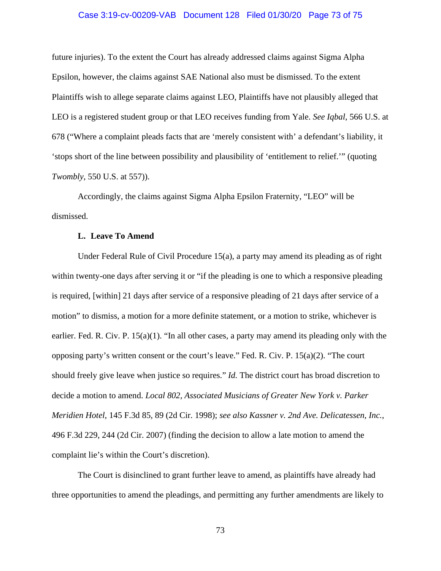#### Case 3:19-cv-00209-VAB Document 128 Filed 01/30/20 Page 73 of 75

future injuries). To the extent the Court has already addressed claims against Sigma Alpha Epsilon, however, the claims against SAE National also must be dismissed. To the extent Plaintiffs wish to allege separate claims against LEO, Plaintiffs have not plausibly alleged that LEO is a registered student group or that LEO receives funding from Yale. *See Iqbal*, 566 U.S. at 678 ("Where a complaint pleads facts that are 'merely consistent with' a defendant's liability, it 'stops short of the line between possibility and plausibility of 'entitlement to relief.'" (quoting *Twombly*, 550 U.S. at 557)).

Accordingly, the claims against Sigma Alpha Epsilon Fraternity, "LEO" will be dismissed.

### **L. Leave To Amend**

Under Federal Rule of Civil Procedure 15(a), a party may amend its pleading as of right within twenty-one days after serving it or "if the pleading is one to which a responsive pleading is required, [within] 21 days after service of a responsive pleading of 21 days after service of a motion" to dismiss, a motion for a more definite statement, or a motion to strike, whichever is earlier. Fed. R. Civ. P. 15(a)(1). "In all other cases, a party may amend its pleading only with the opposing party's written consent or the court's leave." Fed. R. Civ. P. 15(a)(2). "The court should freely give leave when justice so requires." *Id.* The district court has broad discretion to decide a motion to amend. *Local 802, Associated Musicians of Greater New York v. Parker Meridien Hotel*, 145 F.3d 85, 89 (2d Cir. 1998); *see also Kassner v. 2nd Ave. Delicatessen, Inc.*, 496 F.3d 229, 244 (2d Cir. 2007) (finding the decision to allow a late motion to amend the complaint lie's within the Court's discretion).

The Court is disinclined to grant further leave to amend, as plaintiffs have already had three opportunities to amend the pleadings, and permitting any further amendments are likely to

73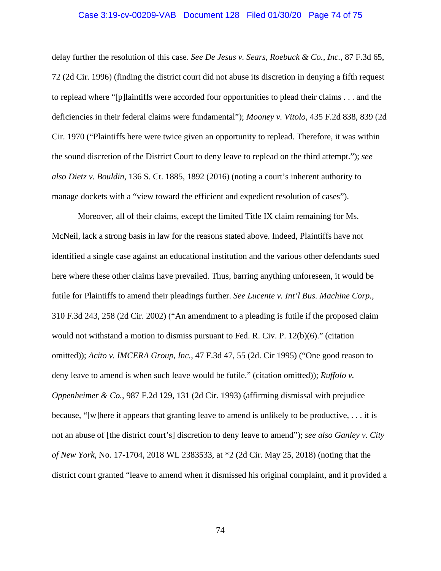#### Case 3:19-cv-00209-VAB Document 128 Filed 01/30/20 Page 74 of 75

delay further the resolution of this case. *See De Jesus v. Sears, Roebuck & Co., Inc.*, 87 F.3d 65, 72 (2d Cir. 1996) (finding the district court did not abuse its discretion in denying a fifth request to replead where "[p]laintiffs were accorded four opportunities to plead their claims . . . and the deficiencies in their federal claims were fundamental"); *Mooney v. Vitolo*, 435 F.2d 838, 839 (2d Cir. 1970 ("Plaintiffs here were twice given an opportunity to replead. Therefore, it was within the sound discretion of the District Court to deny leave to replead on the third attempt."); *see also Dietz v. Bouldin*, 136 S. Ct. 1885, 1892 (2016) (noting a court's inherent authority to manage dockets with a "view toward the efficient and expedient resolution of cases").

Moreover, all of their claims, except the limited Title IX claim remaining for Ms. McNeil, lack a strong basis in law for the reasons stated above. Indeed, Plaintiffs have not identified a single case against an educational institution and the various other defendants sued here where these other claims have prevailed. Thus, barring anything unforeseen, it would be futile for Plaintiffs to amend their pleadings further. *See Lucente v. Int'l Bus. Machine Corp.*, 310 F.3d 243, 258 (2d Cir. 2002) ("An amendment to a pleading is futile if the proposed claim would not withstand a motion to dismiss pursuant to Fed. R. Civ. P. 12(b)(6)." (citation omitted)); *Acito v. IMCERA Group, Inc.*, 47 F.3d 47, 55 (2d. Cir 1995) ("One good reason to deny leave to amend is when such leave would be futile." (citation omitted)); *Ruffolo v. Oppenheimer & Co.*, 987 F.2d 129, 131 (2d Cir. 1993) (affirming dismissal with prejudice because, "[w]here it appears that granting leave to amend is unlikely to be productive, . . . it is not an abuse of [the district court's] discretion to deny leave to amend"); *see also Ganley v. City of New York*, No. 17-1704, 2018 WL 2383533, at \*2 (2d Cir. May 25, 2018) (noting that the district court granted "leave to amend when it dismissed his original complaint, and it provided a

74